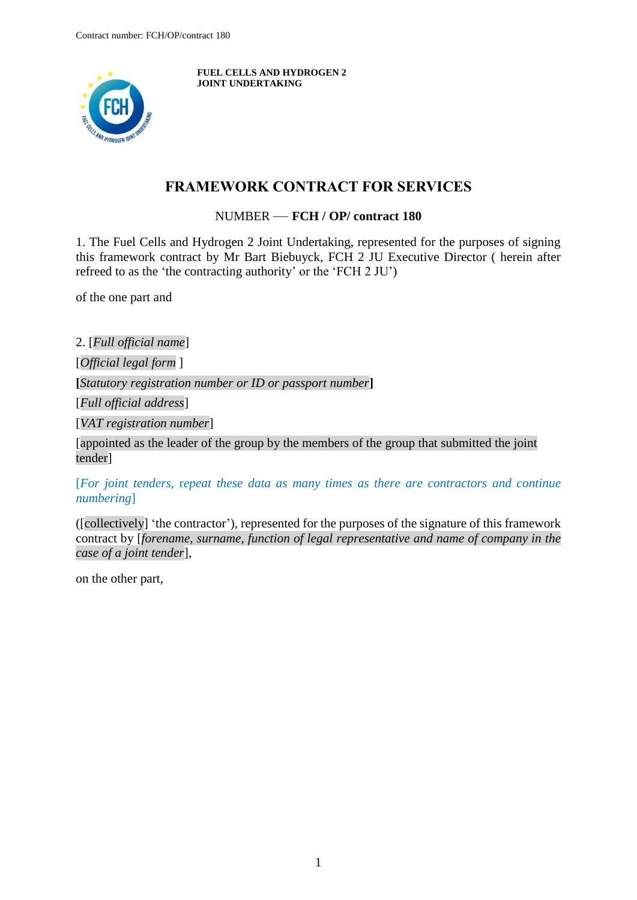

**FUEL CELLS AND HYDROGEN 2 JOINT UNDERTAKING**

## **FRAMEWORK CONTRACT FOR SERVICES**

NUMBER — **FCH / OP/ contract 180**

<span id="page-0-0"></span>1. The Fuel Cells and Hydrogen 2 Joint Undertaking, represented for the purposes of signing this framework contract by Mr Bart Biebuyck, FCH 2 JU Executive Director ( herein after refreed to as the 'the contracting authority' or the 'FCH 2 JU')

of the one part and

2. [*Full official name*]

[*Official legal form* ]

**[***Statutory registration number or ID or passport number***]**

[*Full official address*]

[*VAT registration number*]

[appointed as the leader of the group by the members of the group that submitted the joint tender]

[*For joint tenders,* r*epeat these data as many times as there are contractors and continue numbering*]

([collectively] 'the contractor'), represented for the purposes of the signature of this framework contract by [*forename, surname, function of legal representative and name of company in the case of a joint tender*],

on the other part,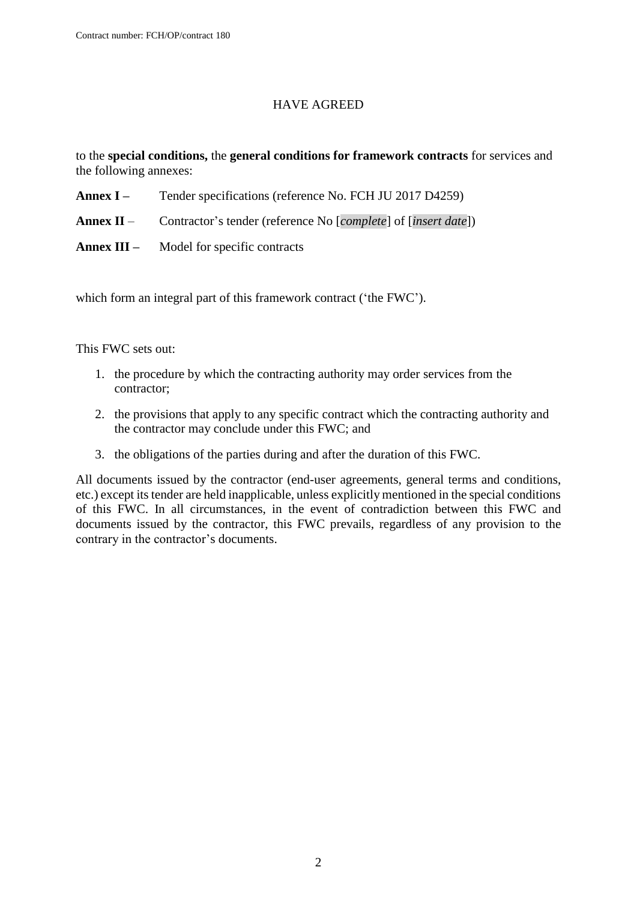#### HAVE AGREED

to the **special conditions,** the **general conditions for framework contracts** for services and the following annexes:

- Annex I Tender specifications (reference No. FCH JU 2017 D4259)
- **Annex II** Contractor's tender (reference No [*complete*] of [*insert date*])
- **Annex III –** Model for specific contracts

which form an integral part of this framework contract ('the FWC').

This FWC sets out:

- 1. the procedure by which the contracting authority may order services from the contractor;
- 2. the provisions that apply to any specific contract which the contracting authority and the contractor may conclude under this FWC; and
- 3. the obligations of the parties during and after the duration of this FWC.

All documents issued by the contractor (end-user agreements, general terms and conditions, etc.) except its tender are held inapplicable, unless explicitly mentioned in the special conditions of this FWC. In all circumstances, in the event of contradiction between this FWC and documents issued by the contractor, this FWC prevails, regardless of any provision to the contrary in the contractor's documents.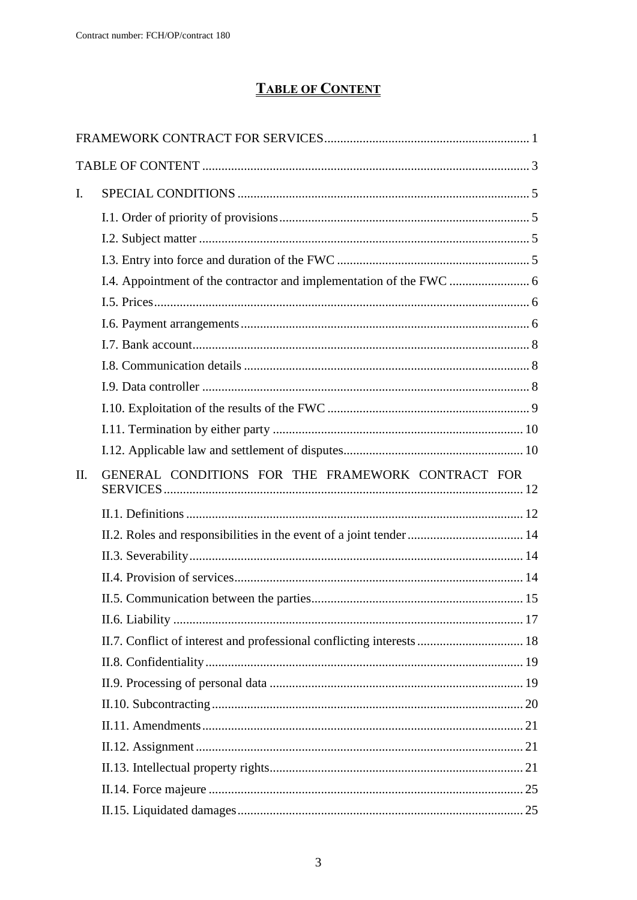# **TABLE OF CONTENT**

<span id="page-2-0"></span>

| $\mathbf{I}$ . |                                                                       |  |
|----------------|-----------------------------------------------------------------------|--|
|                |                                                                       |  |
|                |                                                                       |  |
|                |                                                                       |  |
|                |                                                                       |  |
|                |                                                                       |  |
|                |                                                                       |  |
|                |                                                                       |  |
|                |                                                                       |  |
|                |                                                                       |  |
|                |                                                                       |  |
|                |                                                                       |  |
|                |                                                                       |  |
| II.            | GENERAL CONDITIONS FOR THE FRAMEWORK CONTRACT FOR                     |  |
|                |                                                                       |  |
|                |                                                                       |  |
|                |                                                                       |  |
|                |                                                                       |  |
|                |                                                                       |  |
|                |                                                                       |  |
|                |                                                                       |  |
|                |                                                                       |  |
|                | II.7. Conflict of interest and professional conflicting interests  18 |  |
|                |                                                                       |  |
|                |                                                                       |  |
|                |                                                                       |  |
|                |                                                                       |  |
|                |                                                                       |  |
|                |                                                                       |  |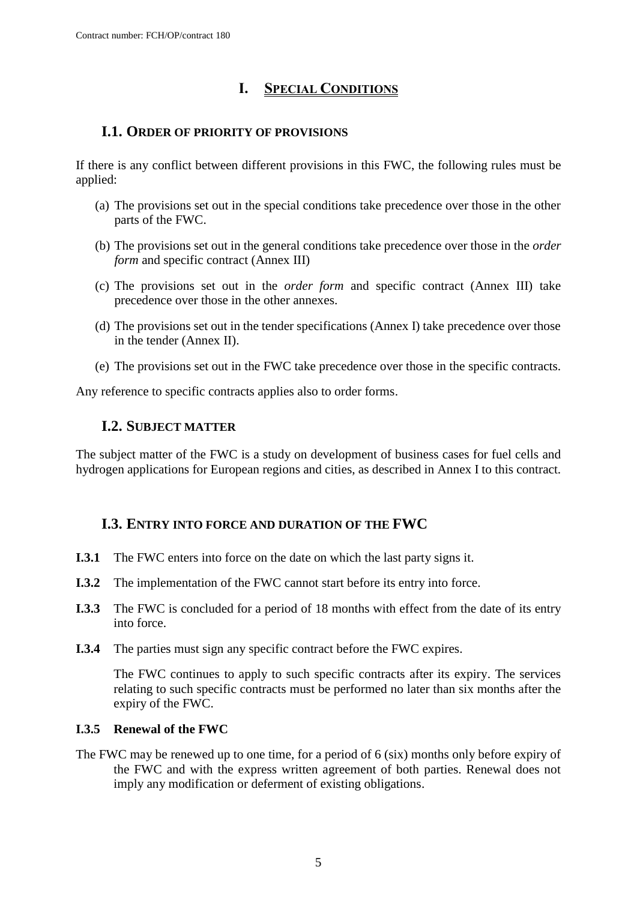# **I. SPECIAL CONDITIONS**

## <span id="page-4-1"></span><span id="page-4-0"></span>**I.1. ORDER OF PRIORITY OF PROVISIONS**

If there is any conflict between different provisions in this FWC, the following rules must be applied:

- (a) The provisions set out in the special conditions take precedence over those in the other parts of the FWC.
- (b) The provisions set out in the general conditions take precedence over those in the *order form* and specific contract (Annex III)
- (c) The provisions set out in the *order form* and specific contract (Annex III) take precedence over those in the other annexes.
- (d) The provisions set out in the tender specifications (Annex I) take precedence over those in the tender (Annex II).
- (e) The provisions set out in the FWC take precedence over those in the specific contracts.

<span id="page-4-2"></span>Any reference to specific contracts applies also to order forms.

## **I.2. SUBJECT MATTER**

The subject matter of the FWC is a study on development of business cases for fuel cells and hydrogen applications for European regions and cities, as described in Annex I to this contract.

## <span id="page-4-3"></span>**I.3. ENTRY INTO FORCE AND DURATION OF THE FWC**

- **I.3.1** The FWC enters into force on the date on which the last party signs it.
- **I.3.2** The implementation of the FWC cannot start before its entry into force.
- **I.3.3** The FWC is concluded for a period of 18 months with effect from the date of its entry into force.
- **I.3.4** The parties must sign any specific contract before the FWC expires.

The FWC continues to apply to such specific contracts after its expiry. The services relating to such specific contracts must be performed no later than six months after the expiry of the FWC.

#### **I.3.5 Renewal of the FWC**

The FWC may be renewed up to one time, for a period of 6 (six) months only before expiry of the FWC and with the express written agreement of both parties. Renewal does not imply any modification or deferment of existing obligations.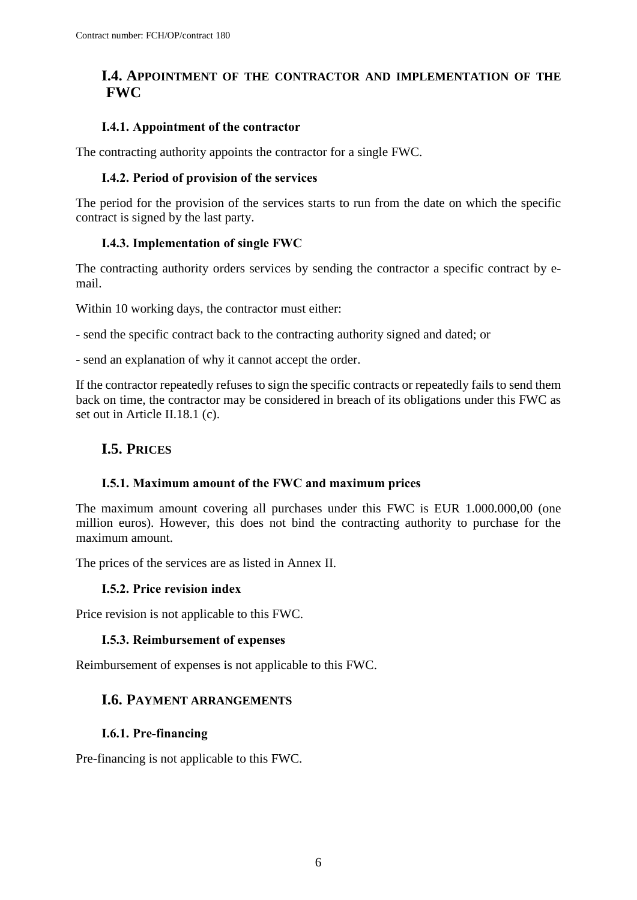## <span id="page-5-0"></span>**I.4. APPOINTMENT OF THE CONTRACTOR AND IMPLEMENTATION OF THE FWC**

#### **I.4.1. Appointment of the contractor**

The contracting authority appoints the contractor for a single FWC.

#### **I.4.2. Period of provision of the services**

The period for the provision of the services starts to run from the date on which the specific contract is signed by the last party.

#### **I.4.3. Implementation of single FWC**

The contracting authority orders services by sending the contractor a specific contract by email.

Within 10 working days, the contractor must either:

- send the specific contract back to the contracting authority signed and dated; or

- send an explanation of why it cannot accept the order.

If the contractor repeatedly refuses to sign the specific contracts or repeatedly fails to send them back on time, the contractor may be considered in breach of its obligations under this FWC as set out in Article II.18.1 (c).

## <span id="page-5-1"></span>**I.5. PRICES**

#### **I.5.1. Maximum amount of the FWC and maximum prices**

The maximum amount covering all purchases under this FWC is EUR 1.000.000,00 (one million euros). However, this does not bind the contracting authority to purchase for the maximum amount.

The prices of the services are as listed in Annex II.

#### **I.5.2. Price revision index**

Price revision is not applicable to this FWC.

#### **I.5.3. Reimbursement of expenses**

<span id="page-5-2"></span>Reimbursement of expenses is not applicable to this FWC.

## **I.6. PAYMENT ARRANGEMENTS**

#### **I.6.1. Pre-financing**

Pre-financing is not applicable to this FWC.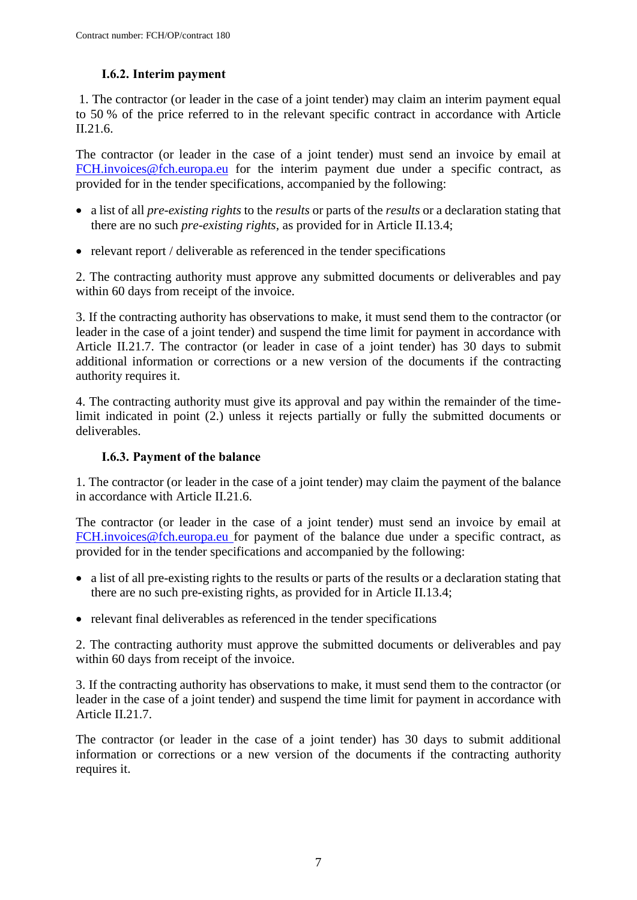### **I.6.2. Interim payment**

1. The contractor (or leader in the case of a joint tender) may claim an interim payment equal to 50 % of the price referred to in the relevant specific contract in accordance with Article II.21.6.

The contractor (or leader in the case of a joint tender) must send an invoice by email at [FCH.invoices@fch.europa.eu](mailto:FCH.invoices@fch.europa.eu) for the interim payment due under a specific contract, as provided for in the tender specifications, accompanied by the following:

- a list of all *pre-existing rights* to the *results* or parts of the *results* or a declaration stating that there are no such *pre-existing rights*, as provided for in Article II.13.4;
- relevant report / deliverable as referenced in the tender specifications

2. The contracting authority must approve any submitted documents or deliverables and pay within 60 days from receipt of the invoice.

3. If the contracting authority has observations to make, it must send them to the contractor (or leader in the case of a joint tender) and suspend the time limit for payment in accordance with Article II.21.7. The contractor (or leader in case of a joint tender) has 30 days to submit additional information or corrections or a new version of the documents if the contracting authority requires it.

4. The contracting authority must give its approval and pay within the remainder of the timelimit indicated in point (2.) unless it rejects partially or fully the submitted documents or deliverables.

#### **I.6.3. Payment of the balance**

1. The contractor (or leader in the case of a joint tender) may claim the payment of the balance in accordance with Article II.21.6.

The contractor (or leader in the case of a joint tender) must send an invoice by email at [FCH.invoices@fch.europa.eu](mailto:FCH.invoices@fch.europa.eu) for payment of the balance due under a specific contract, as provided for in the tender specifications and accompanied by the following:

- a list of all pre-existing rights to the results or parts of the results or a declaration stating that there are no such pre-existing rights, as provided for in Article II.13.4;
- relevant final deliverables as referenced in the tender specifications

2. The contracting authority must approve the submitted documents or deliverables and pay within 60 days from receipt of the invoice.

3. If the contracting authority has observations to make, it must send them to the contractor (or leader in the case of a joint tender) and suspend the time limit for payment in accordance with Article II.21.7.

The contractor (or leader in the case of a joint tender) has 30 days to submit additional information or corrections or a new version of the documents if the contracting authority requires it.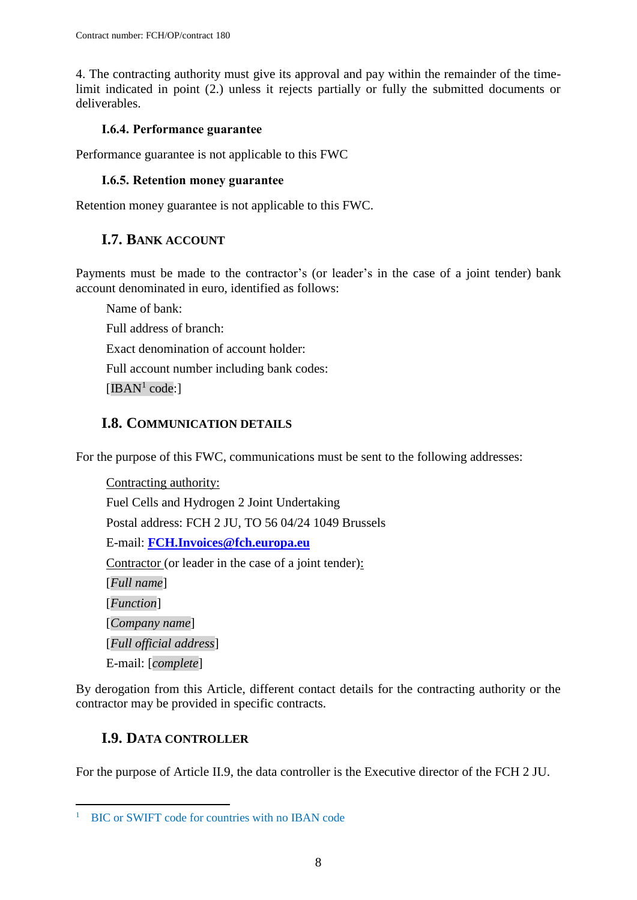4. The contracting authority must give its approval and pay within the remainder of the timelimit indicated in point (2.) unless it rejects partially or fully the submitted documents or deliverables.

#### **I.6.4. Performance guarantee**

Performance guarantee is not applicable to this FWC

#### **I.6.5. Retention money guarantee**

<span id="page-7-0"></span>Retention money guarantee is not applicable to this FWC.

## **I.7. BANK ACCOUNT**

Payments must be made to the contractor's (or leader's in the case of a joint tender) bank account denominated in euro, identified as follows:

Name of bank: Full address of branch: Exact denomination of account holder: Full account number including bank codes:  $[IBAN<sup>1</sup> code.]$ 

## <span id="page-7-1"></span>**I.8. COMMUNICATION DETAILS**

For the purpose of this FWC, communications must be sent to the following addresses:

Contracting authority: Fuel Cells and Hydrogen 2 Joint Undertaking Postal address: FCH 2 JU, TO 56 04/24 1049 Brussels E-mail: **[FCH.Invoices@fch.europa.eu](mailto:FCH.Invoices@fch.europa.eu)** Contractor (or leader in the case of a joint tender): [*Full name*] [*Function*] [*Company name*] [*Full official address*] E-mail: [*complete*]

By derogation from this Article, different contact details for the contracting authority or the contractor may be provided in specific contracts.

## <span id="page-7-2"></span>**I.9. DATA CONTROLLER**

 $\overline{a}$ 

For the purpose of Article II.9, the data controller is the Executive director of the FCH 2 JU.

<sup>&</sup>lt;sup>1</sup> BIC or SWIFT code for countries with no IBAN code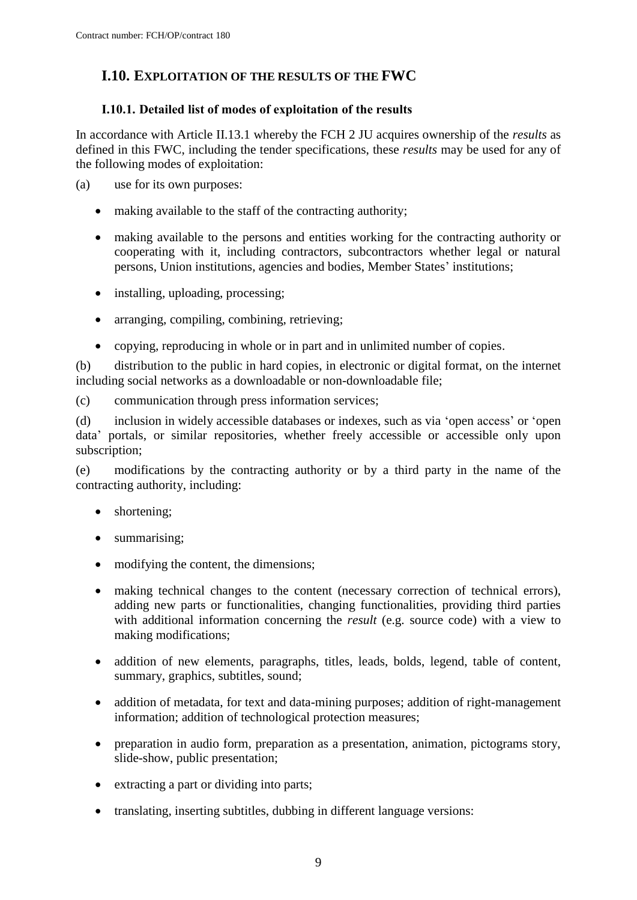## <span id="page-8-0"></span>**I.10. EXPLOITATION OF THE RESULTS OF THE FWC**

#### **I.10.1. Detailed list of modes of exploitation of the results**

In accordance with Article II.13.1 whereby the FCH 2 JU acquires ownership of the *results* as defined in this FWC, including the tender specifications, these *results* may be used for any of the following modes of exploitation:

(a) use for its own purposes:

- making available to the staff of the contracting authority;
- making available to the persons and entities working for the contracting authority or cooperating with it, including contractors, subcontractors whether legal or natural persons, Union institutions, agencies and bodies, Member States' institutions;
- installing, uploading, processing;
- arranging, compiling, combining, retrieving;
- copying, reproducing in whole or in part and in unlimited number of copies.

(b) distribution to the public in hard copies, in electronic or digital format, on the internet including social networks as a downloadable or non-downloadable file;

(c) communication through press information services;

(d) inclusion in widely accessible databases or indexes, such as via 'open access' or 'open data' portals, or similar repositories, whether freely accessible or accessible only upon subscription;

(e) modifications by the contracting authority or by a third party in the name of the contracting authority, including:

- shortening;
- summarising;
- modifying the content, the dimensions;
- making technical changes to the content (necessary correction of technical errors), adding new parts or functionalities, changing functionalities, providing third parties with additional information concerning the *result* (e.g. source code) with a view to making modifications;
- addition of new elements, paragraphs, titles, leads, bolds, legend, table of content, summary, graphics, subtitles, sound;
- addition of metadata, for text and data-mining purposes; addition of right-management information; addition of technological protection measures;
- preparation in audio form, preparation as a presentation, animation, pictograms story, slide-show, public presentation;
- extracting a part or dividing into parts;
- translating, inserting subtitles, dubbing in different language versions: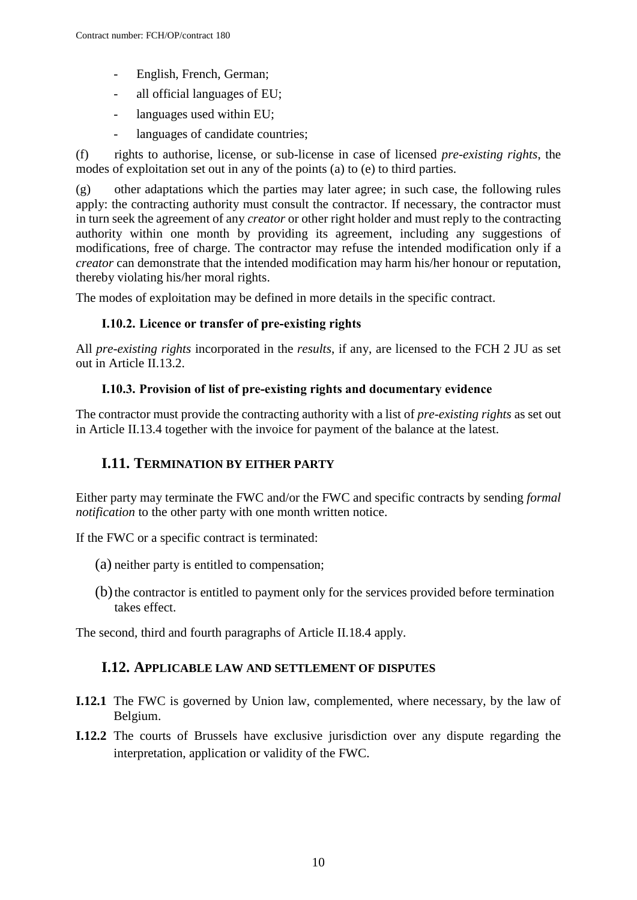- English, French, German;
- all official languages of EU;
- languages used within EU;
- languages of candidate countries;

(f) rights to authorise, license, or sub-license in case of licensed *pre-existing rights*, the modes of exploitation set out in any of the points (a) to (e) to third parties.

(g) other adaptations which the parties may later agree; in such case, the following rules apply: the contracting authority must consult the contractor. If necessary, the contractor must in turn seek the agreement of any *creator* or other right holder and must reply to the contracting authority within one month by providing its agreement, including any suggestions of modifications, free of charge. The contractor may refuse the intended modification only if a *creator* can demonstrate that the intended modification may harm his/her honour or reputation, thereby violating his/her moral rights.

The modes of exploitation may be defined in more details in the specific contract.

#### **I.10.2. Licence or transfer of pre-existing rights**

All *pre-existing rights* incorporated in the *results*, if any, are licensed to the FCH 2 JU as set out in Article II.13.2.

#### **I.10.3. Provision of list of pre-existing rights and documentary evidence**

The contractor must provide the contracting authority with a list of *pre-existing rights* as set out in Article II.13.4 together with the invoice for payment of the balance at the latest.

## <span id="page-9-0"></span>**I.11. TERMINATION BY EITHER PARTY**

Either party may terminate the FWC and/or the FWC and specific contracts by sending *formal notification* to the other party with one month written notice.

If the FWC or a specific contract is terminated:

- (a) neither party is entitled to compensation;
- (b) the contractor is entitled to payment only for the services provided before termination takes effect.

<span id="page-9-1"></span>The second, third and fourth paragraphs of Article II.18.4 apply.

#### **I.12. APPLICABLE LAW AND SETTLEMENT OF DISPUTES**

- **I.12.1** The FWC is governed by Union law, complemented, where necessary, by the law of Belgium.
- **I.12.2** The courts of Brussels have exclusive jurisdiction over any dispute regarding the interpretation, application or validity of the FWC.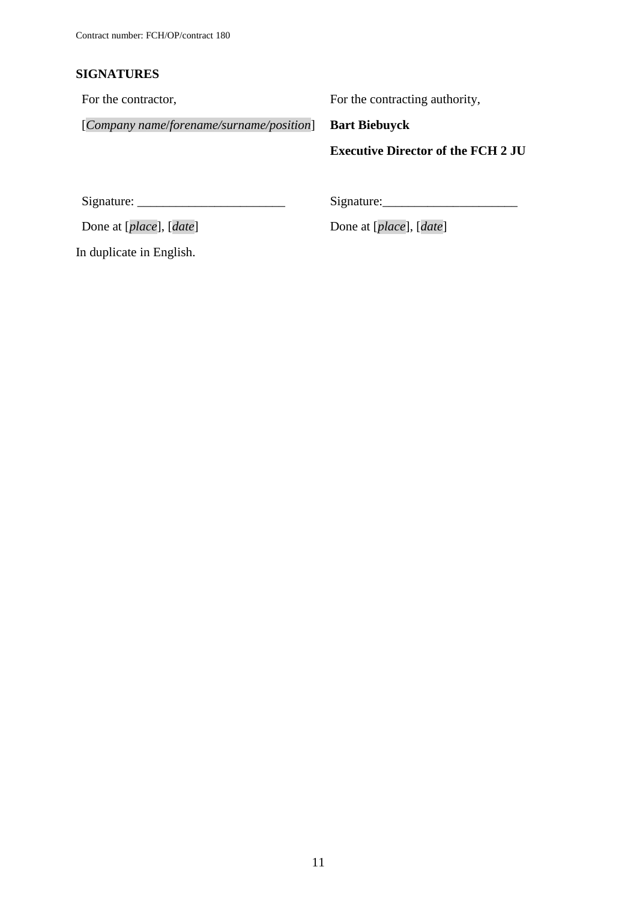## **SIGNATURES**

For the contractor,

For the contracting authority,

[*Company name*/*forename/surname/position*]

**Bart Biebuyck Executive Director of the FCH 2 JU**

Signature: \_\_\_\_\_\_\_\_\_\_\_\_\_\_\_\_\_\_\_\_\_\_\_

Done at [*place*], [*date*]

Signature:\_\_\_\_\_\_\_\_\_\_\_\_\_\_\_\_\_\_\_\_\_

Done at [*place*], [*date*]

In duplicate in English.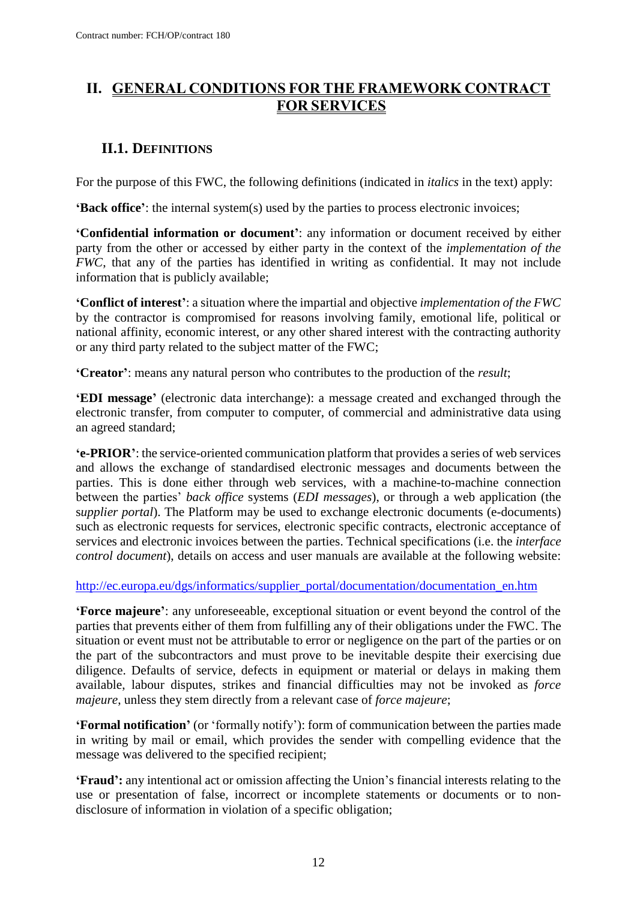## <span id="page-11-0"></span>**II. GENERAL CONDITIONS FOR THE FRAMEWORK CONTRACT FOR SERVICES**

# <span id="page-11-1"></span>**II.1. DEFINITIONS**

For the purpose of this FWC, the following definitions (indicated in *italics* in the text) apply:

**'Back office'**: the internal system(s) used by the parties to process electronic invoices;

**'Confidential information or document'**: any information or document received by either party from the other or accessed by either party in the context of the *implementation of the FWC*, that any of the parties has identified in writing as confidential. It may not include information that is publicly available;

**'Conflict of interest'**: a situation where the impartial and objective *implementation of the FWC* by the contractor is compromised for reasons involving family, emotional life, political or national affinity, economic interest, or any other shared interest with the contracting authority or any third party related to the subject matter of the FWC;

**'Creator'**: means any natural person who contributes to the production of the *result*;

**'EDI message'** (electronic data interchange): a message created and exchanged through the electronic transfer, from computer to computer, of commercial and administrative data using an agreed standard;

**'e-PRIOR'**: the service-oriented communication platform that provides a series of web services and allows the exchange of standardised electronic messages and documents between the parties. This is done either through web services, with a machine-to-machine connection between the parties' *back office* systems (*EDI messages*), or through a web application (the s*upplier portal*). The Platform may be used to exchange electronic documents (e-documents) such as electronic requests for services, electronic specific contracts, electronic acceptance of services and electronic invoices between the parties. Technical specifications (i.e. the *interface control document*), details on access and user manuals are available at the following website:

[http://ec.europa.eu/dgs/informatics/supplier\\_portal/documentation/documentation\\_en.htm](http://ec.europa.eu/dgs/informatics/supplier_portal/documentation/documentation_en.htm)

**'Force majeure'**: any unforeseeable, exceptional situation or event beyond the control of the parties that prevents either of them from fulfilling any of their obligations under the FWC. The situation or event must not be attributable to error or negligence on the part of the parties or on the part of the subcontractors and must prove to be inevitable despite their exercising due diligence. Defaults of service, defects in equipment or material or delays in making them available, labour disputes, strikes and financial difficulties may not be invoked as *force majeure*, unless they stem directly from a relevant case of *force majeure*;

**'Formal notification'** (or 'formally notify'): form of communication between the parties made in writing by mail or email, which provides the sender with compelling evidence that the message was delivered to the specified recipient;

**'Fraud':** any intentional act or omission affecting the Union's financial interests relating to the use or presentation of false, incorrect or incomplete statements or documents or to nondisclosure of information in violation of a specific obligation;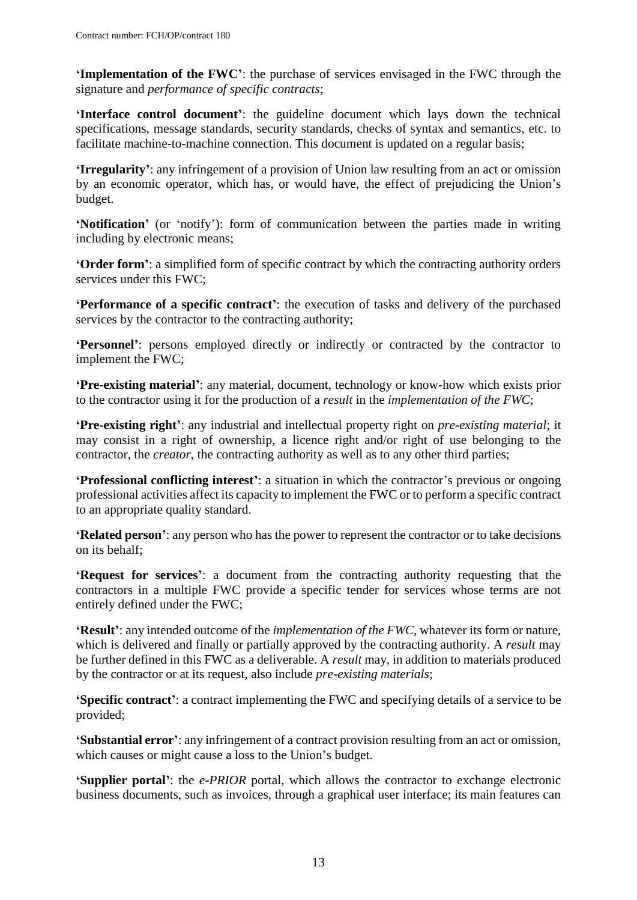**'Implementation of the FWC'**: the purchase of services envisaged in the FWC through the signature and *performance of specific contracts*;

**'Interface control document'**: the guideline document which lays down the technical specifications, message standards, security standards, checks of syntax and semantics, etc. to facilitate machine-to-machine connection. This document is updated on a regular basis;

**'Irregularity'**: any infringement of a provision of Union law resulting from an act or omission by an economic operator, which has, or would have, the effect of prejudicing the Union's budget.

**'Notification'** (or 'notify'): form of communication between the parties made in writing including by electronic means;

**'Order form'**: a simplified form of specific contract by which the contracting authority orders services under this FWC;

**'Performance of a specific contract'**: the execution of tasks and delivery of the purchased services by the contractor to the contracting authority;

**'Personnel'**: persons employed directly or indirectly or contracted by the contractor to implement the FWC;

**'Pre-existing material'**: any material, document, technology or know-how which exists prior to the contractor using it for the production of a *result* in the *implementation of the FWC*;

**'Pre-existing right'**: any industrial and intellectual property right on *pre-existing material*; it may consist in a right of ownership, a licence right and/or right of use belonging to the contractor, the *creator*, the contracting authority as well as to any other third parties;

**'Professional conflicting interest'**: a situation in which the contractor's previous or ongoing professional activities affect its capacity to implement the FWC or to perform a specific contract to an appropriate quality standard.

**'Related person'**: any person who has the power to represent the contractor or to take decisions on its behalf;

**'Request for services'**: a document from the contracting authority requesting that the contractors in a multiple FWC provide a specific tender for services whose terms are not entirely defined under the FWC;

**'Result'**: any intended outcome of the *implementation of the FWC*, whatever its form or nature, which is delivered and finally or partially approved by the contracting authority. A *result* may be further defined in this FWC as a deliverable. A *result* may, in addition to materials produced by the contractor or at its request, also include *pre-existing materials*;

**'Specific contract'**: a contract implementing the FWC and specifying details of a service to be provided;

**'Substantial error'**: any infringement of a contract provision resulting from an act or omission, which causes or might cause a loss to the Union's budget.

**'Supplier portal'**: the *e-PRIOR* portal, which allows the contractor to exchange electronic business documents, such as invoices, through a graphical user interface; its main features can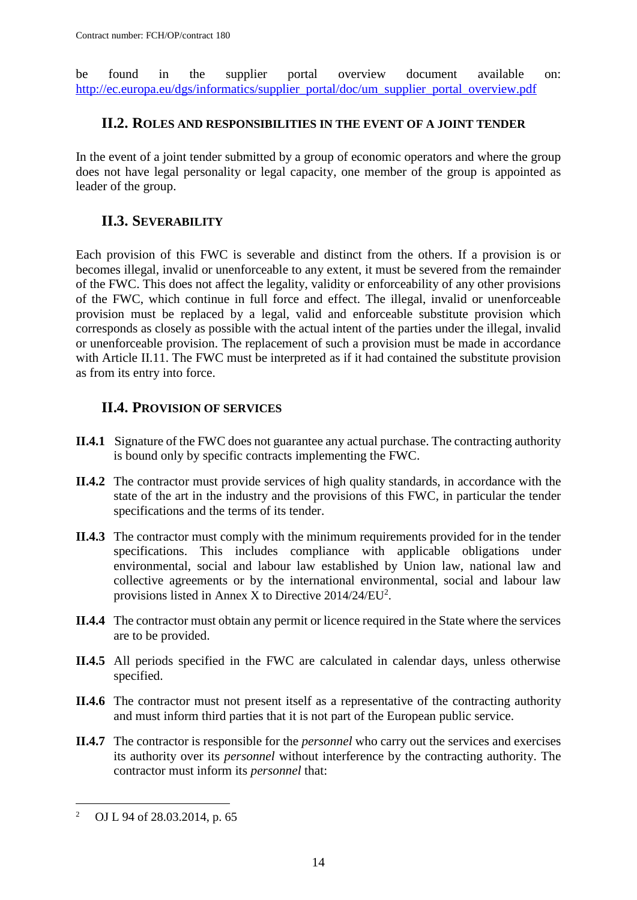be found in the supplier portal overview document available on: [http://ec.europa.eu/dgs/informatics/supplier\\_portal/doc/um\\_supplier\\_portal\\_overview.pdf](http://ec.europa.eu/dgs/informatics/supplier_portal/doc/um_supplier_portal_overview.pdf)

#### <span id="page-13-0"></span>**II.2. ROLES AND RESPONSIBILITIES IN THE EVENT OF A JOINT TENDER**

In the event of a joint tender submitted by a group of economic operators and where the group does not have legal personality or legal capacity, one member of the group is appointed as leader of the group.

## <span id="page-13-1"></span>**II.3. SEVERABILITY**

Each provision of this FWC is severable and distinct from the others. If a provision is or becomes illegal, invalid or unenforceable to any extent, it must be severed from the remainder of the FWC. This does not affect the legality, validity or enforceability of any other provisions of the FWC, which continue in full force and effect. The illegal, invalid or unenforceable provision must be replaced by a legal, valid and enforceable substitute provision which corresponds as closely as possible with the actual intent of the parties under the illegal, invalid or unenforceable provision. The replacement of such a provision must be made in accordance with Article II.11. The FWC must be interpreted as if it had contained the substitute provision as from its entry into force.

## <span id="page-13-2"></span>**II.4. PROVISION OF SERVICES**

- **II.4.1** Signature of the FWC does not guarantee any actual purchase. The contracting authority is bound only by specific contracts implementing the FWC.
- **II.4.2** The contractor must provide services of high quality standards, in accordance with the state of the art in the industry and the provisions of this FWC, in particular the tender specifications and the terms of its tender.
- **II.4.3** The contractor must comply with the minimum requirements provided for in the tender specifications. This includes compliance with applicable obligations under environmental, social and labour law established by Union law, national law and collective agreements or by the international environmental, social and labour law provisions listed in Annex X to Directive  $2014/24/EU^2$ .
- **II.4.4** The contractor must obtain any permit or licence required in the State where the services are to be provided.
- **II.4.5** All periods specified in the FWC are calculated in calendar days, unless otherwise specified.
- **II.4.6** The contractor must not present itself as a representative of the contracting authority and must inform third parties that it is not part of the European public service.
- **II.4.7** The contractor is responsible for the *personnel* who carry out the services and exercises its authority over its *personnel* without interference by the contracting authority. The contractor must inform its *personnel* that:

 $\overline{a}$ 

<sup>2</sup> OJ L 94 of 28.03.2014, p. 65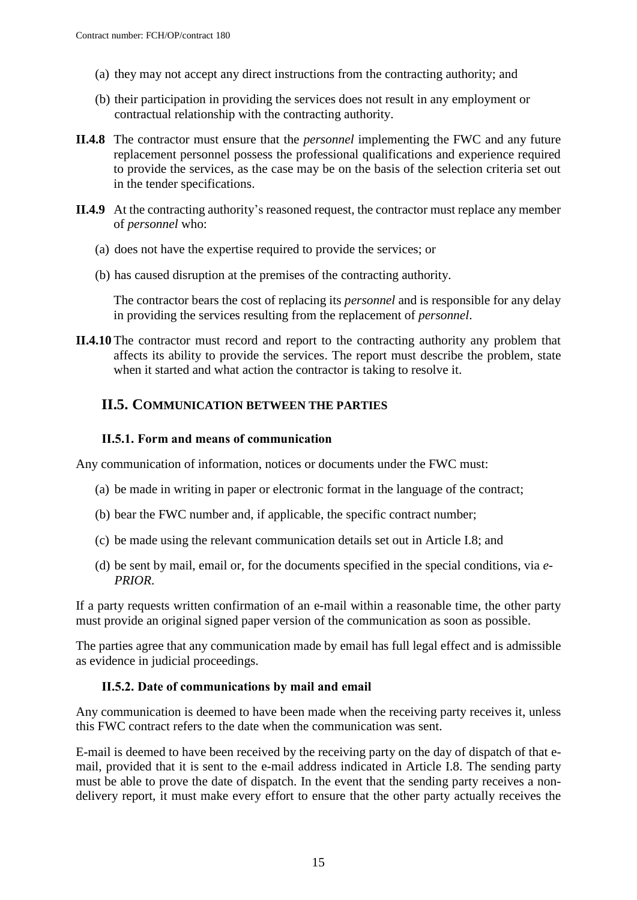- (a) they may not accept any direct instructions from the contracting authority; and
- (b) their participation in providing the services does not result in any employment or contractual relationship with the contracting authority.
- **II.4.8** The contractor must ensure that the *personnel* implementing the FWC and any future replacement personnel possess the professional qualifications and experience required to provide the services, as the case may be on the basis of the selection criteria set out in the tender specifications.
- **II.4.9** At the contracting authority's reasoned request, the contractor must replace any member of *personnel* who:
	- (a) does not have the expertise required to provide the services; or
	- (b) has caused disruption at the premises of the contracting authority.

The contractor bears the cost of replacing its *personnel* and is responsible for any delay in providing the services resulting from the replacement of *personnel*.

**II.4.10** The contractor must record and report to the contracting authority any problem that affects its ability to provide the services. The report must describe the problem, state when it started and what action the contractor is taking to resolve it.

#### <span id="page-14-0"></span>**II.5. COMMUNICATION BETWEEN THE PARTIES**

#### **II.5.1. Form and means of communication**

Any communication of information, notices or documents under the FWC must:

- (a) be made in writing in paper or electronic format in the language of the contract;
- (b) bear the FWC number and, if applicable, the specific contract number;
- (c) be made using the relevant communication details set out in Article I.8; and
- (d) be sent by mail, email or, for the documents specified in the special conditions, via *e-PRIOR*.

If a party requests written confirmation of an e-mail within a reasonable time, the other party must provide an original signed paper version of the communication as soon as possible.

The parties agree that any communication made by email has full legal effect and is admissible as evidence in judicial proceedings.

#### **II.5.2. Date of communications by mail and email**

Any communication is deemed to have been made when the receiving party receives it, unless this FWC contract refers to the date when the communication was sent.

E-mail is deemed to have been received by the receiving party on the day of dispatch of that email, provided that it is sent to the e-mail address indicated in Article I.8. The sending party must be able to prove the date of dispatch. In the event that the sending party receives a nondelivery report, it must make every effort to ensure that the other party actually receives the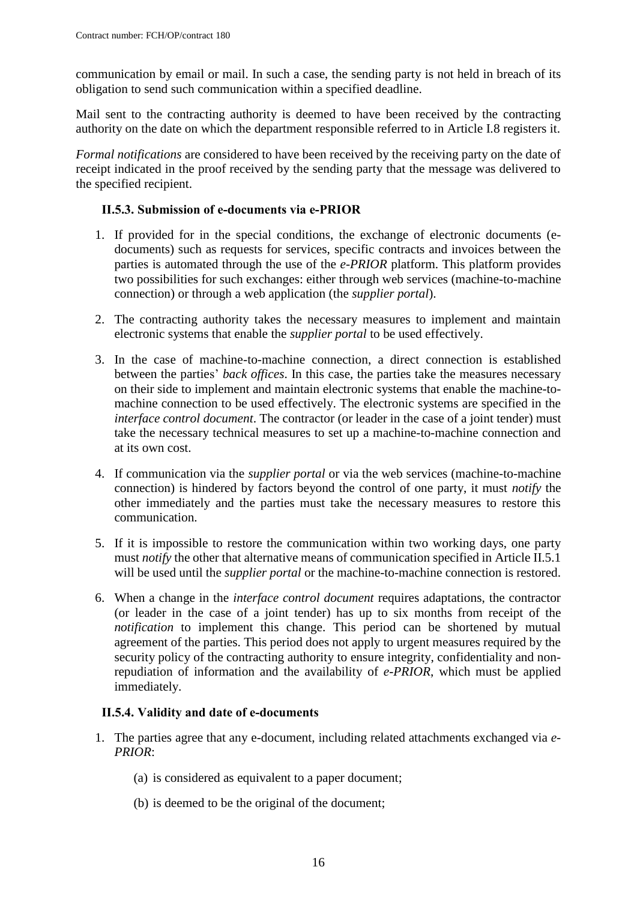communication by email or mail. In such a case, the sending party is not held in breach of its obligation to send such communication within a specified deadline.

Mail sent to the contracting authority is deemed to have been received by the contracting authority on the date on which the department responsible referred to in Article I.8 registers it.

*Formal notifications* are considered to have been received by the receiving party on the date of receipt indicated in the proof received by the sending party that the message was delivered to the specified recipient.

#### **II.5.3. Submission of e-documents via e-PRIOR**

- 1. If provided for in the special conditions, the exchange of electronic documents (edocuments) such as requests for services, specific contracts and invoices between the parties is automated through the use of the *e-PRIOR* platform. This platform provides two possibilities for such exchanges: either through web services (machine-to-machine connection) or through a web application (the *supplier portal*).
- 2. The contracting authority takes the necessary measures to implement and maintain electronic systems that enable the *supplier portal* to be used effectively.
- 3. In the case of machine-to-machine connection, a direct connection is established between the parties' *back offices*. In this case, the parties take the measures necessary on their side to implement and maintain electronic systems that enable the machine-tomachine connection to be used effectively. The electronic systems are specified in the *interface control document*. The contractor (or leader in the case of a joint tender) must take the necessary technical measures to set up a machine-to-machine connection and at its own cost.
- 4. If communication via the *supplier portal* or via the web services (machine-to-machine connection) is hindered by factors beyond the control of one party, it must *notify* the other immediately and the parties must take the necessary measures to restore this communication.
- 5. If it is impossible to restore the communication within two working days, one party must *notify* the other that alternative means of communication specified in Article II.5.1 will be used until the *supplier portal* or the machine-to-machine connection is restored.
- 6. When a change in the *interface control document* requires adaptations, the contractor (or leader in the case of a joint tender) has up to six months from receipt of the *notification* to implement this change. This period can be shortened by mutual agreement of the parties. This period does not apply to urgent measures required by the security policy of the contracting authority to ensure integrity, confidentiality and nonrepudiation of information and the availability of *e-PRIOR*, which must be applied immediately.

#### **II.5.4. Validity and date of e-documents**

- 1. The parties agree that any e-document, including related attachments exchanged via *e-PRIOR*:
	- (a) is considered as equivalent to a paper document;
	- (b) is deemed to be the original of the document;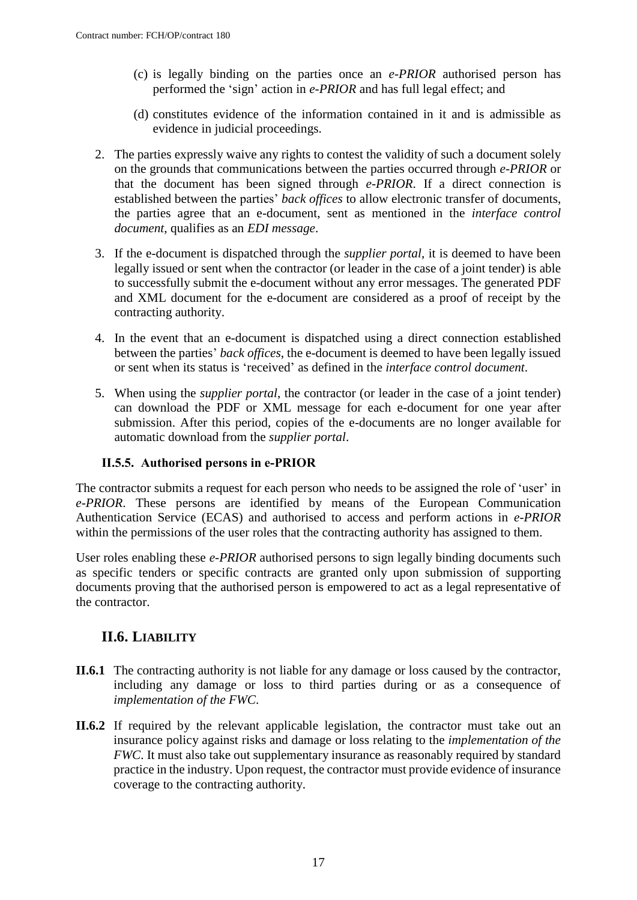- (c) is legally binding on the parties once an *e-PRIOR* authorised person has performed the 'sign' action in *e-PRIOR* and has full legal effect; and
- (d) constitutes evidence of the information contained in it and is admissible as evidence in judicial proceedings.
- 2. The parties expressly waive any rights to contest the validity of such a document solely on the grounds that communications between the parties occurred through *e-PRIOR* or that the document has been signed through *e-PRIOR*. If a direct connection is established between the parties' *back offices* to allow electronic transfer of documents, the parties agree that an e-document, sent as mentioned in the *interface control document*, qualifies as an *EDI message*.
- 3. If the e-document is dispatched through the *supplier portal*, it is deemed to have been legally issued or sent when the contractor (or leader in the case of a joint tender) is able to successfully submit the e-document without any error messages. The generated PDF and XML document for the e-document are considered as a proof of receipt by the contracting authority.
- 4. In the event that an e-document is dispatched using a direct connection established between the parties' *back offices*, the e-document is deemed to have been legally issued or sent when its status is 'received' as defined in the *interface control document*.
- 5. When using the *supplier portal*, the contractor (or leader in the case of a joint tender) can download the PDF or XML message for each e-document for one year after submission. After this period, copies of the e-documents are no longer available for automatic download from the *supplier portal*.

#### **II.5.5. Authorised persons in e-PRIOR**

The contractor submits a request for each person who needs to be assigned the role of 'user' in *e-PRIOR*. These persons are identified by means of the European Communication Authentication Service (ECAS) and authorised to access and perform actions in *e-PRIOR* within the permissions of the user roles that the contracting authority has assigned to them.

User roles enabling these *e-PRIOR* authorised persons to sign legally binding documents such as specific tenders or specific contracts are granted only upon submission of supporting documents proving that the authorised person is empowered to act as a legal representative of the contractor.

## <span id="page-16-0"></span>**II.6. LIABILITY**

- **II.6.1** The contracting authority is not liable for any damage or loss caused by the contractor, including any damage or loss to third parties during or as a consequence of *implementation of the FWC*.
- **II.6.2** If required by the relevant applicable legislation, the contractor must take out an insurance policy against risks and damage or loss relating to the *implementation of the FWC*. It must also take out supplementary insurance as reasonably required by standard practice in the industry. Upon request, the contractor must provide evidence of insurance coverage to the contracting authority.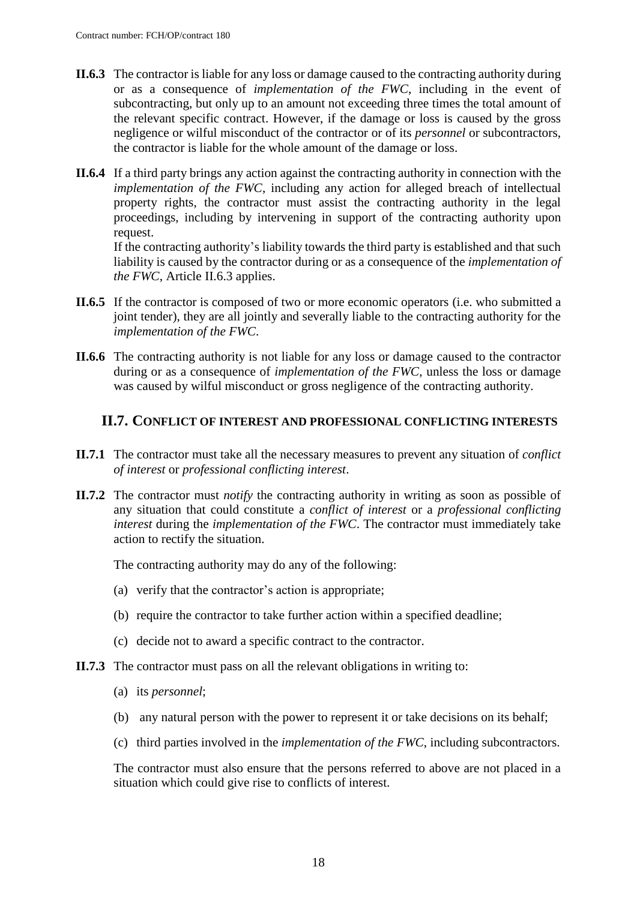- **II.6.3** The contractor is liable for any loss or damage caused to the contracting authority during or as a consequence of *implementation of the FWC*, including in the event of subcontracting, but only up to an amount not exceeding three times the total amount of the relevant specific contract. However, if the damage or loss is caused by the gross negligence or wilful misconduct of the contractor or of its *personnel* or subcontractors, the contractor is liable for the whole amount of the damage or loss.
- **II.6.4** If a third party brings any action against the contracting authority in connection with the *implementation of the FWC*, including any action for alleged breach of intellectual property rights, the contractor must assist the contracting authority in the legal proceedings, including by intervening in support of the contracting authority upon request.

If the contracting authority's liability towards the third party is established and that such liability is caused by the contractor during or as a consequence of the *implementation of the FWC*, Article II.6.3 applies.

- **II.6.5** If the contractor is composed of two or more economic operators (i.e. who submitted a joint tender), they are all jointly and severally liable to the contracting authority for the *implementation of the FWC*.
- **II.6.6** The contracting authority is not liable for any loss or damage caused to the contractor during or as a consequence of *implementation of the FWC*, unless the loss or damage was caused by wilful misconduct or gross negligence of the contracting authority.

#### <span id="page-17-0"></span>**II.7. CONFLICT OF INTEREST AND PROFESSIONAL CONFLICTING INTERESTS**

- **II.7.1** The contractor must take all the necessary measures to prevent any situation of *conflict of interest* or *professional conflicting interest*.
- **II.7.2** The contractor must *notify* the contracting authority in writing as soon as possible of any situation that could constitute a *conflict of interest* or a *professional conflicting interest* during the *implementation of the FWC*. The contractor must immediately take action to rectify the situation.

The contracting authority may do any of the following:

- (a) verify that the contractor's action is appropriate;
- (b) require the contractor to take further action within a specified deadline;
- (c) decide not to award a specific contract to the contractor.
- **II.7.3** The contractor must pass on all the relevant obligations in writing to:
	- (a) its *personnel*;
	- (b) any natural person with the power to represent it or take decisions on its behalf;
	- (c) third parties involved in the *implementation of the FWC*, including subcontractors.

The contractor must also ensure that the persons referred to above are not placed in a situation which could give rise to conflicts of interest.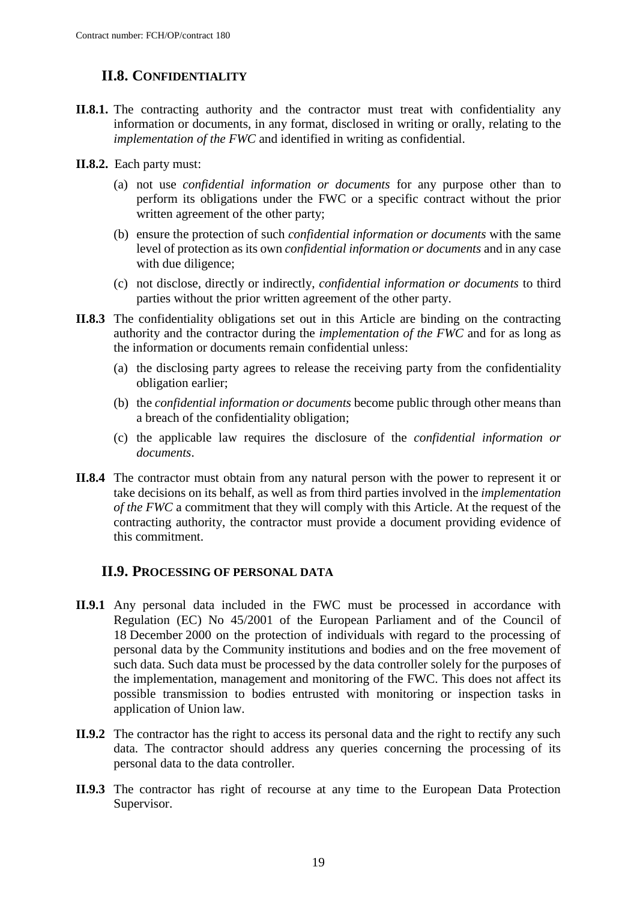## <span id="page-18-0"></span>**II.8. CONFIDENTIALITY**

- **II.8.1.** The contracting authority and the contractor must treat with confidentiality any information or documents, in any format, disclosed in writing or orally, relating to the *implementation of the FWC* and identified in writing as confidential.
- **II.8.2.** Each party must:
	- (a) not use *confidential information or documents* for any purpose other than to perform its obligations under the FWC or a specific contract without the prior written agreement of the other party;
	- (b) ensure the protection of such *confidential information or documents* with the same level of protection as its own *confidential information or documents* and in any case with due diligence;
	- (c) not disclose, directly or indirectly, *confidential information or documents* to third parties without the prior written agreement of the other party.
- **II.8.3** The confidentiality obligations set out in this Article are binding on the contracting authority and the contractor during the *implementation of the FWC* and for as long as the information or documents remain confidential unless:
	- (a) the disclosing party agrees to release the receiving party from the confidentiality obligation earlier;
	- (b) the *confidential information or documents* become public through other means than a breach of the confidentiality obligation;
	- (c) the applicable law requires the disclosure of the *confidential information or documents*.
- **II.8.4** The contractor must obtain from any natural person with the power to represent it or take decisions on its behalf, as well as from third parties involved in the *implementation of the FWC* a commitment that they will comply with this Article. At the request of the contracting authority, the contractor must provide a document providing evidence of this commitment.

#### <span id="page-18-1"></span>**II.9. PROCESSING OF PERSONAL DATA**

- **II.9.1** Any personal data included in the FWC must be processed in accordance with Regulation (EC) No 45/2001 of the European Parliament and of the Council of 18 December 2000 on the protection of individuals with regard to the processing of personal data by the Community institutions and bodies and on the free movement of such data. Such data must be processed by the data controller solely for the purposes of the implementation, management and monitoring of the FWC. This does not affect its possible transmission to bodies entrusted with monitoring or inspection tasks in application of Union law.
- **II.9.2** The contractor has the right to access its personal data and the right to rectify any such data. The contractor should address any queries concerning the processing of its personal data to the data controller.
- **II.9.3** The contractor has right of recourse at any time to the European Data Protection Supervisor.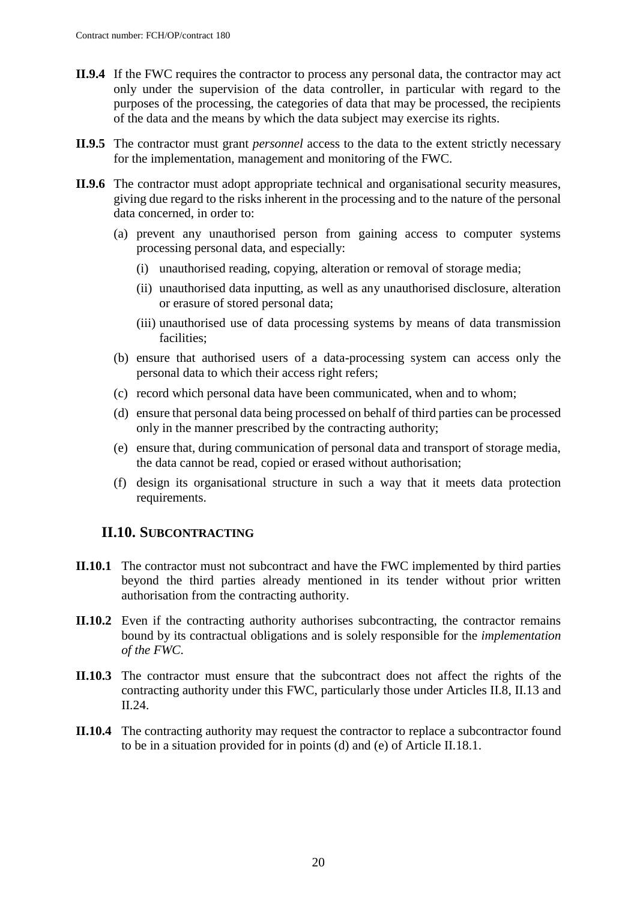- **II.9.4** If the FWC requires the contractor to process any personal data, the contractor may act only under the supervision of the data controller, in particular with regard to the purposes of the processing, the categories of data that may be processed, the recipients of the data and the means by which the data subject may exercise its rights.
- **II.9.5** The contractor must grant *personnel* access to the data to the extent strictly necessary for the implementation, management and monitoring of the FWC.
- **II.9.6** The contractor must adopt appropriate technical and organisational security measures, giving due regard to the risks inherent in the processing and to the nature of the personal data concerned, in order to:
	- (a) prevent any unauthorised person from gaining access to computer systems processing personal data, and especially:
		- (i) unauthorised reading, copying, alteration or removal of storage media;
		- (ii) unauthorised data inputting, as well as any unauthorised disclosure, alteration or erasure of stored personal data;
		- (iii) unauthorised use of data processing systems by means of data transmission facilities;
	- (b) ensure that authorised users of a data-processing system can access only the personal data to which their access right refers;
	- (c) record which personal data have been communicated, when and to whom;
	- (d) ensure that personal data being processed on behalf of third parties can be processed only in the manner prescribed by the contracting authority;
	- (e) ensure that, during communication of personal data and transport of storage media, the data cannot be read, copied or erased without authorisation;
	- (f) design its organisational structure in such a way that it meets data protection requirements.

#### <span id="page-19-0"></span>**II.10. SUBCONTRACTING**

- **II.10.1** The contractor must not subcontract and have the FWC implemented by third parties beyond the third parties already mentioned in its tender without prior written authorisation from the contracting authority.
- **II.10.2** Even if the contracting authority authorises subcontracting, the contractor remains bound by its contractual obligations and is solely responsible for the *implementation of the FWC*.
- **II.10.3** The contractor must ensure that the subcontract does not affect the rights of the contracting authority under this FWC, particularly those under Articles II.8, II.13 and II.24.
- **II.10.4** The contracting authority may request the contractor to replace a subcontractor found to be in a situation provided for in points (d) and (e) of Article II.18.1.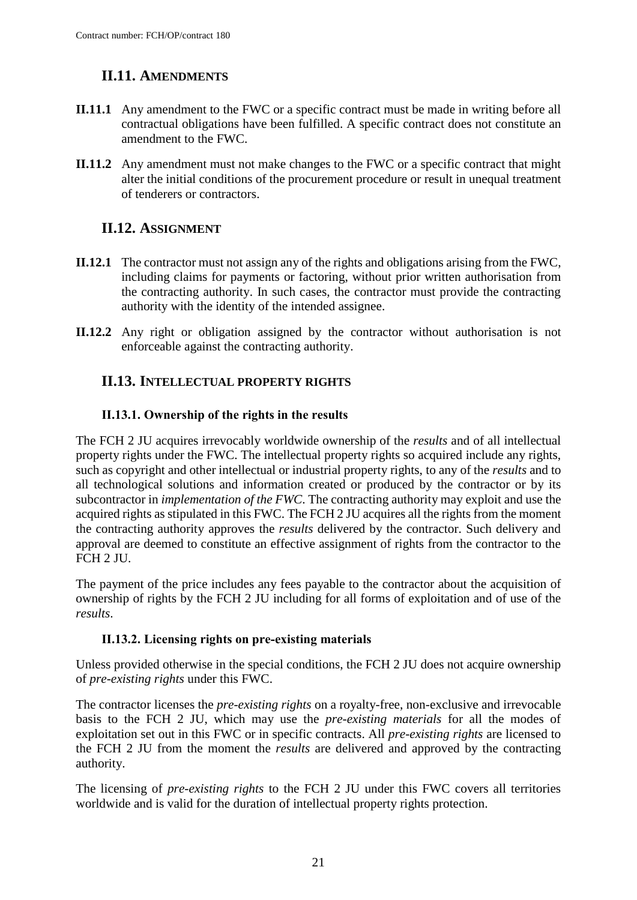## <span id="page-20-0"></span>**II.11. AMENDMENTS**

- **II.11.1** Any amendment to the FWC or a specific contract must be made in writing before all contractual obligations have been fulfilled. A specific contract does not constitute an amendment to the FWC.
- **II.11.2** Any amendment must not make changes to the FWC or a specific contract that might alter the initial conditions of the procurement procedure or result in unequal treatment of tenderers or contractors.

## <span id="page-20-1"></span>**II.12. ASSIGNMENT**

- **II.12.1** The contractor must not assign any of the rights and obligations arising from the FWC, including claims for payments or factoring, without prior written authorisation from the contracting authority. In such cases, the contractor must provide the contracting authority with the identity of the intended assignee.
- **II.12.2** Any right or obligation assigned by the contractor without authorisation is not enforceable against the contracting authority.

## <span id="page-20-2"></span>**II.13. INTELLECTUAL PROPERTY RIGHTS**

### **II.13.1. Ownership of the rights in the results**

The FCH 2 JU acquires irrevocably worldwide ownership of the *results* and of all intellectual property rights under the FWC. The intellectual property rights so acquired include any rights, such as copyright and other intellectual or industrial property rights, to any of the *results* and to all technological solutions and information created or produced by the contractor or by its subcontractor in *implementation of the FWC*. The contracting authority may exploit and use the acquired rights as stipulated in this FWC. The FCH 2 JU acquires all the rights from the moment the contracting authority approves the *results* delivered by the contractor. Such delivery and approval are deemed to constitute an effective assignment of rights from the contractor to the FCH 2 JU.

The payment of the price includes any fees payable to the contractor about the acquisition of ownership of rights by the FCH 2 JU including for all forms of exploitation and of use of the *results*.

#### **II.13.2. Licensing rights on pre-existing materials**

Unless provided otherwise in the special conditions, the FCH 2 JU does not acquire ownership of *pre-existing rights* under this FWC.

The contractor licenses the *pre-existing rights* on a royalty-free, non-exclusive and irrevocable basis to the FCH 2 JU, which may use the *pre-existing materials* for all the modes of exploitation set out in this FWC or in specific contracts. All *pre-existing rights* are licensed to the FCH 2 JU from the moment the *results* are delivered and approved by the contracting authority.

The licensing of *pre-existing rights* to the FCH 2 JU under this FWC covers all territories worldwide and is valid for the duration of intellectual property rights protection.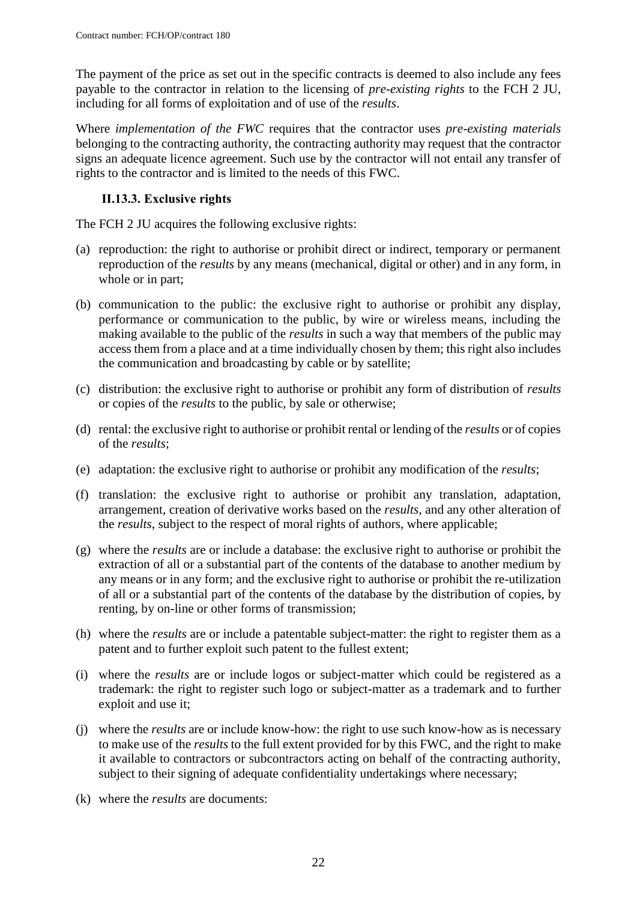The payment of the price as set out in the specific contracts is deemed to also include any fees payable to the contractor in relation to the licensing of *pre-existing rights* to the FCH 2 JU, including for all forms of exploitation and of use of the *results*.

Where *implementation of the FWC* requires that the contractor uses *pre-existing materials* belonging to the contracting authority, the contracting authority may request that the contractor signs an adequate licence agreement. Such use by the contractor will not entail any transfer of rights to the contractor and is limited to the needs of this FWC.

### **II.13.3. Exclusive rights**

The FCH 2 JU acquires the following exclusive rights:

- (a) reproduction: the right to authorise or prohibit direct or indirect, temporary or permanent reproduction of the *results* by any means (mechanical, digital or other) and in any form, in whole or in part;
- (b) communication to the public: the exclusive right to authorise or prohibit any display, performance or communication to the public, by wire or wireless means, including the making available to the public of the *results* in such a way that members of the public may access them from a place and at a time individually chosen by them; this right also includes the communication and broadcasting by cable or by satellite;
- (c) distribution: the exclusive right to authorise or prohibit any form of distribution of *results* or copies of the *results* to the public, by sale or otherwise;
- (d) rental: the exclusive right to authorise or prohibit rental or lending of the *results* or of copies of the *results*;
- (e) adaptation: the exclusive right to authorise or prohibit any modification of the *results*;
- (f) translation: the exclusive right to authorise or prohibit any translation, adaptation, arrangement, creation of derivative works based on the *results*, and any other alteration of the *results*, subject to the respect of moral rights of authors, where applicable;
- (g) where the *results* are or include a database: the exclusive right to authorise or prohibit the extraction of all or a substantial part of the contents of the database to another medium by any means or in any form; and the exclusive right to authorise or prohibit the re-utilization of all or a substantial part of the contents of the database by the distribution of copies, by renting, by on-line or other forms of transmission;
- (h) where the *results* are or include a patentable subject-matter: the right to register them as a patent and to further exploit such patent to the fullest extent;
- (i) where the *results* are or include logos or subject-matter which could be registered as a trademark: the right to register such logo or subject-matter as a trademark and to further exploit and use it;
- (j) where the *results* are or include know-how: the right to use such know-how as is necessary to make use of the *results* to the full extent provided for by this FWC, and the right to make it available to contractors or subcontractors acting on behalf of the contracting authority, subject to their signing of adequate confidentiality undertakings where necessary;
- (k) where the *results* are documents: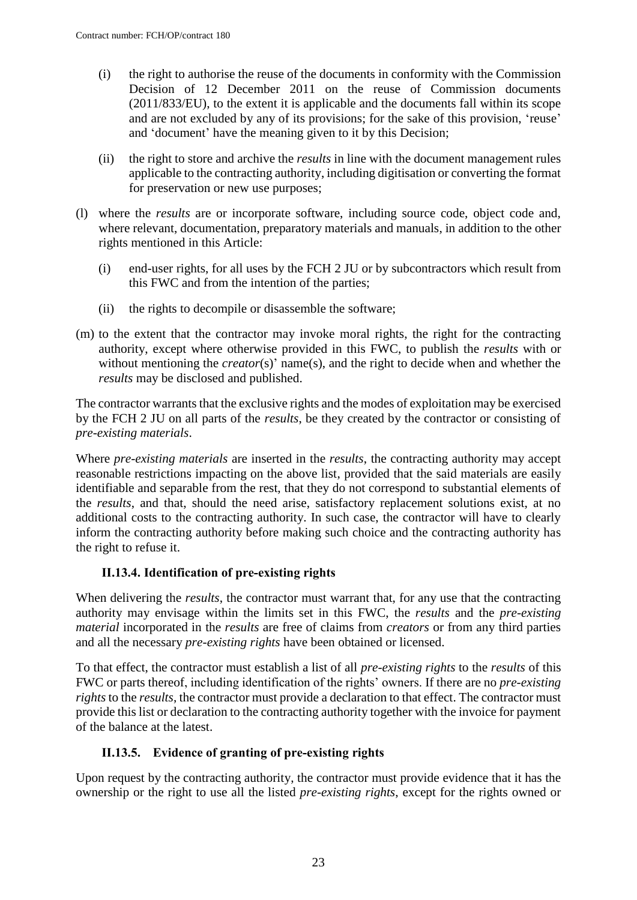- (i) the right to authorise the reuse of the documents in conformity with the Commission Decision of 12 December 2011 on the reuse of Commission documents (2011/833/EU), to the extent it is applicable and the documents fall within its scope and are not excluded by any of its provisions; for the sake of this provision, 'reuse' and 'document' have the meaning given to it by this Decision;
- (ii) the right to store and archive the *results* in line with the document management rules applicable to the contracting authority, including digitisation or converting the format for preservation or new use purposes;
- (l) where the *results* are or incorporate software, including source code, object code and, where relevant, documentation, preparatory materials and manuals, in addition to the other rights mentioned in this Article:
	- (i) end-user rights, for all uses by the FCH 2 JU or by subcontractors which result from this FWC and from the intention of the parties;
	- (ii) the rights to decompile or disassemble the software;
- (m) to the extent that the contractor may invoke moral rights, the right for the contracting authority, except where otherwise provided in this FWC, to publish the *results* with or without mentioning the *creator*(s)' name(s), and the right to decide when and whether the *results* may be disclosed and published.

The contractor warrants that the exclusive rights and the modes of exploitation may be exercised by the FCH 2 JU on all parts of the *results*, be they created by the contractor or consisting of *pre-existing materials*.

Where *pre-existing materials* are inserted in the *results*, the contracting authority may accept reasonable restrictions impacting on the above list, provided that the said materials are easily identifiable and separable from the rest, that they do not correspond to substantial elements of the *results*, and that, should the need arise, satisfactory replacement solutions exist, at no additional costs to the contracting authority. In such case, the contractor will have to clearly inform the contracting authority before making such choice and the contracting authority has the right to refuse it.

#### **II.13.4. Identification of pre-existing rights**

When delivering the *results*, the contractor must warrant that, for any use that the contracting authority may envisage within the limits set in this FWC, the *results* and the *pre-existing material* incorporated in the *results* are free of claims from *creators* or from any third parties and all the necessary *pre-existing rights* have been obtained or licensed.

To that effect, the contractor must establish a list of all *pre-existing rights* to the *results* of this FWC or parts thereof, including identification of the rights' owners. If there are no *pre-existing rights* to the *results*, the contractor must provide a declaration to that effect. The contractor must provide this list or declaration to the contracting authority together with the invoice for payment of the balance at the latest.

#### **II.13.5. Evidence of granting of pre-existing rights**

Upon request by the contracting authority, the contractor must provide evidence that it has the ownership or the right to use all the listed *pre-existing rights*, except for the rights owned or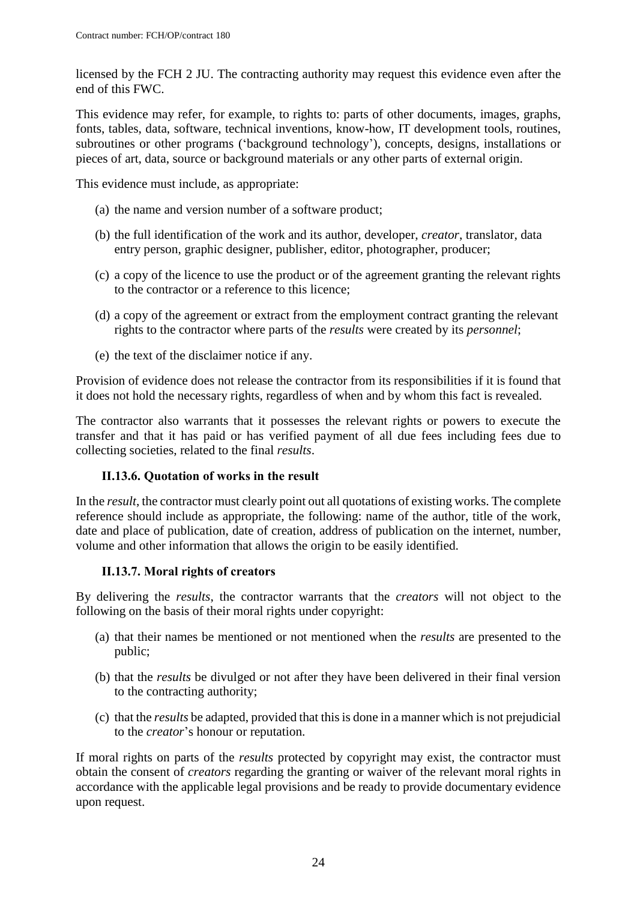licensed by the FCH 2 JU. The contracting authority may request this evidence even after the end of this FWC.

This evidence may refer, for example, to rights to: parts of other documents, images, graphs, fonts, tables, data, software, technical inventions, know-how, IT development tools, routines, subroutines or other programs ('background technology'), concepts, designs, installations or pieces of art, data, source or background materials or any other parts of external origin.

This evidence must include, as appropriate:

- (a) the name and version number of a software product;
- (b) the full identification of the work and its author, developer, *creator*, translator, data entry person, graphic designer, publisher, editor, photographer, producer;
- (c) a copy of the licence to use the product or of the agreement granting the relevant rights to the contractor or a reference to this licence;
- (d) a copy of the agreement or extract from the employment contract granting the relevant rights to the contractor where parts of the *results* were created by its *personnel*;
- (e) the text of the disclaimer notice if any.

Provision of evidence does not release the contractor from its responsibilities if it is found that it does not hold the necessary rights, regardless of when and by whom this fact is revealed.

The contractor also warrants that it possesses the relevant rights or powers to execute the transfer and that it has paid or has verified payment of all due fees including fees due to collecting societies, related to the final *results*.

#### **II.13.6. Quotation of works in the result**

In the *result*, the contractor must clearly point out all quotations of existing works. The complete reference should include as appropriate, the following: name of the author, title of the work, date and place of publication, date of creation, address of publication on the internet, number, volume and other information that allows the origin to be easily identified.

#### **II.13.7. Moral rights of creators**

By delivering the *results*, the contractor warrants that the *creators* will not object to the following on the basis of their moral rights under copyright:

- (a) that their names be mentioned or not mentioned when the *results* are presented to the public;
- (b) that the *results* be divulged or not after they have been delivered in their final version to the contracting authority;
- (c) that the *results* be adapted, provided that this is done in a manner which is not prejudicial to the *creator*'s honour or reputation.

If moral rights on parts of the *results* protected by copyright may exist, the contractor must obtain the consent of *creators* regarding the granting or waiver of the relevant moral rights in accordance with the applicable legal provisions and be ready to provide documentary evidence upon request.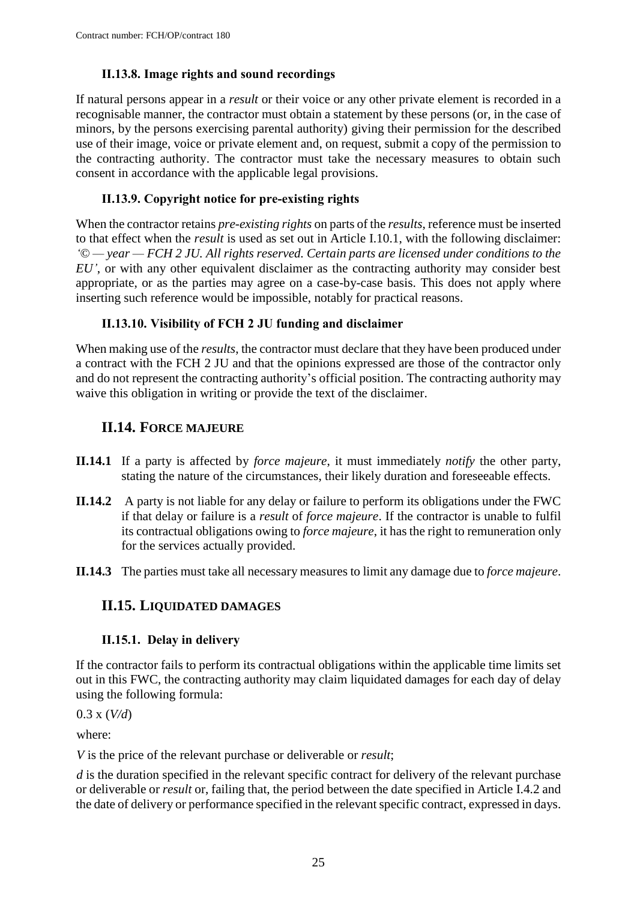### **II.13.8. Image rights and sound recordings**

If natural persons appear in a *result* or their voice or any other private element is recorded in a recognisable manner, the contractor must obtain a statement by these persons (or, in the case of minors, by the persons exercising parental authority) giving their permission for the described use of their image, voice or private element and, on request, submit a copy of the permission to the contracting authority. The contractor must take the necessary measures to obtain such consent in accordance with the applicable legal provisions.

### **II.13.9. Copyright notice for pre-existing rights**

When the contractor retains *pre-existing rights* on parts of the *results*, reference must be inserted to that effect when the *result* is used as set out in Article I.10.1, with the following disclaimer: *'© — year — FCH 2 JU. All rights reserved. Certain parts are licensed under conditions to the EU'*, or with any other equivalent disclaimer as the contracting authority may consider best appropriate, or as the parties may agree on a case-by-case basis. This does not apply where inserting such reference would be impossible, notably for practical reasons.

### **II.13.10. Visibility of FCH 2 JU funding and disclaimer**

When making use of the *results*, the contractor must declare that they have been produced under a contract with the FCH 2 JU and that the opinions expressed are those of the contractor only and do not represent the contracting authority's official position. The contracting authority may waive this obligation in writing or provide the text of the disclaimer.

## <span id="page-24-0"></span>**II.14. FORCE MAJEURE**

- **II.14.1** If a party is affected by *force majeure*, it must immediately *notify* the other party, stating the nature of the circumstances, their likely duration and foreseeable effects.
- **II.14.2** A party is not liable for any delay or failure to perform its obligations under the FWC if that delay or failure is a *result* of *force majeure*. If the contractor is unable to fulfil its contractual obligations owing to *force majeure*, it has the right to remuneration only for the services actually provided.
- <span id="page-24-1"></span>**II.14.3** The parties must take all necessary measures to limit any damage due to *force majeure*.

## **II.15. LIQUIDATED DAMAGES**

## **II.15.1. Delay in delivery**

If the contractor fails to perform its contractual obligations within the applicable time limits set out in this FWC, the contracting authority may claim liquidated damages for each day of delay using the following formula:

0.3 x (*V/d*)

where:

*V* is the price of the relevant purchase or deliverable or *result*;

*d* is the duration specified in the relevant specific contract for delivery of the relevant purchase or deliverable or *result* or, failing that, the period between the date specified in Article I.4.2 and the date of delivery or performance specified in the relevant specific contract, expressed in days.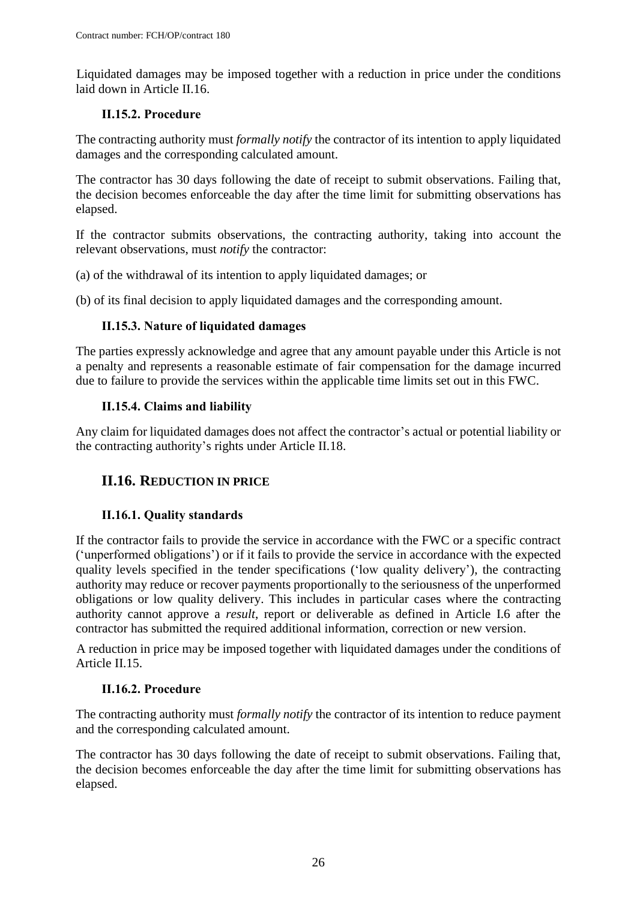Liquidated damages may be imposed together with a reduction in price under the conditions laid down in Article II.16.

#### **II.15.2. Procedure**

The contracting authority must *formally notify* the contractor of its intention to apply liquidated damages and the corresponding calculated amount.

The contractor has 30 days following the date of receipt to submit observations. Failing that, the decision becomes enforceable the day after the time limit for submitting observations has elapsed.

If the contractor submits observations, the contracting authority, taking into account the relevant observations, must *notify* the contractor:

(a) of the withdrawal of its intention to apply liquidated damages; or

(b) of its final decision to apply liquidated damages and the corresponding amount.

## **II.15.3. Nature of liquidated damages**

The parties expressly acknowledge and agree that any amount payable under this Article is not a penalty and represents a reasonable estimate of fair compensation for the damage incurred due to failure to provide the services within the applicable time limits set out in this FWC.

### **II.15.4. Claims and liability**

Any claim for liquidated damages does not affect the contractor's actual or potential liability or the contracting authority's rights under Article II.18.

## <span id="page-25-0"></span>**II.16. REDUCTION IN PRICE**

## **II.16.1. Quality standards**

If the contractor fails to provide the service in accordance with the FWC or a specific contract ('unperformed obligations') or if it fails to provide the service in accordance with the expected quality levels specified in the tender specifications ('low quality delivery'), the contracting authority may reduce or recover payments proportionally to the seriousness of the unperformed obligations or low quality delivery. This includes in particular cases where the contracting authority cannot approve a *result*, report or deliverable as defined in Article I.6 after the contractor has submitted the required additional information, correction or new version.

A reduction in price may be imposed together with liquidated damages under the conditions of Article II.15.

### **II.16.2. Procedure**

The contracting authority must *formally notify* the contractor of its intention to reduce payment and the corresponding calculated amount.

The contractor has 30 days following the date of receipt to submit observations. Failing that, the decision becomes enforceable the day after the time limit for submitting observations has elapsed.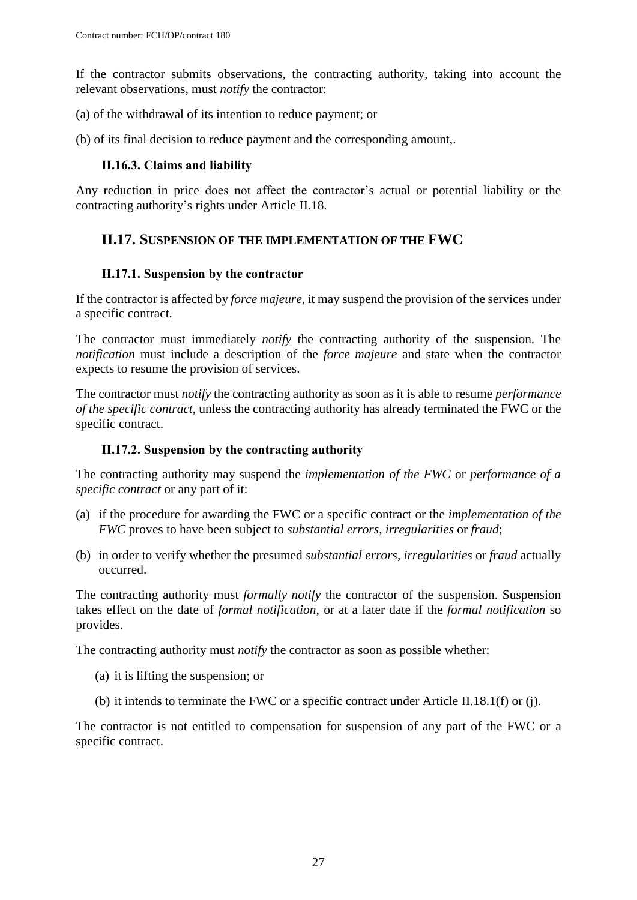If the contractor submits observations, the contracting authority, taking into account the relevant observations, must *notify* the contractor:

(a) of the withdrawal of its intention to reduce payment; or

(b) of its final decision to reduce payment and the corresponding amount,.

#### **II.16.3. Claims and liability**

Any reduction in price does not affect the contractor's actual or potential liability or the contracting authority's rights under Article II.18.

## <span id="page-26-0"></span>**II.17. SUSPENSION OF THE IMPLEMENTATION OF THE FWC**

#### **II.17.1. Suspension by the contractor**

If the contractor is affected by *force majeure*, it may suspend the provision of the services under a specific contract.

The contractor must immediately *notify* the contracting authority of the suspension. The *notification* must include a description of the *force majeure* and state when the contractor expects to resume the provision of services.

The contractor must *notify* the contracting authority as soon as it is able to resume *performance of the specific contract*, unless the contracting authority has already terminated the FWC or the specific contract.

#### **II.17.2. Suspension by the contracting authority**

The contracting authority may suspend the *implementation of the FWC* or *performance of a specific contract* or any part of it:

- (a) if the procedure for awarding the FWC or a specific contract or the *implementation of the FWC* proves to have been subject to *substantial errors*, *irregularities* or *fraud*;
- (b) in order to verify whether the presumed *substantial errors*, *irregularities* or *fraud* actually occurred.

The contracting authority must *formally notify* the contractor of the suspension. Suspension takes effect on the date of *formal notification*, or at a later date if the *formal notification* so provides.

The contracting authority must *notify* the contractor as soon as possible whether:

- (a) it is lifting the suspension; or
- (b) it intends to terminate the FWC or a specific contract under Article II.18.1(f) or (j).

The contractor is not entitled to compensation for suspension of any part of the FWC or a specific contract.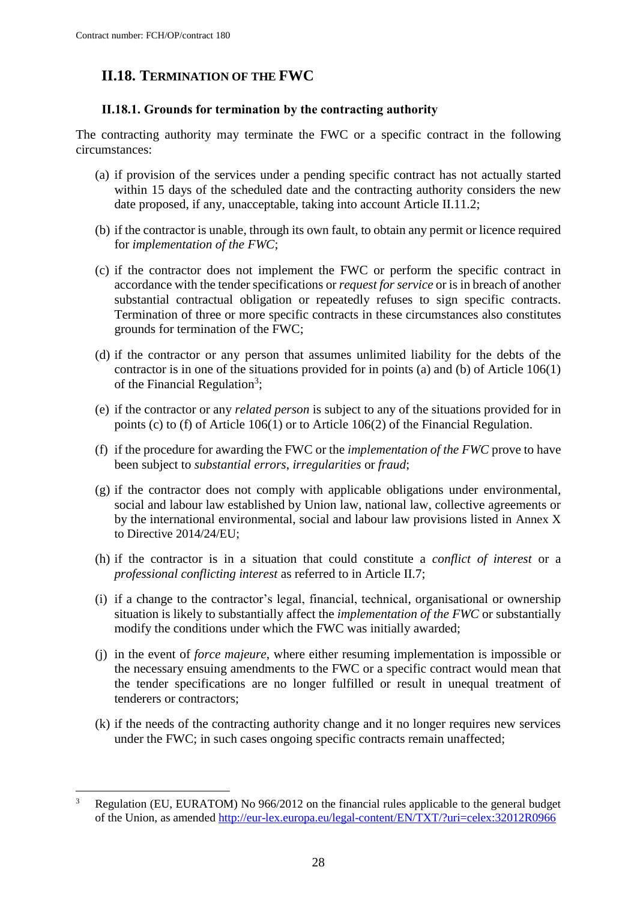$\overline{a}$ 

# <span id="page-27-0"></span>**II.18. TERMINATION OF THE FWC**

#### **II.18.1. Grounds for termination by the contracting authority**

The contracting authority may terminate the FWC or a specific contract in the following circumstances:

- (a) if provision of the services under a pending specific contract has not actually started within 15 days of the scheduled date and the contracting authority considers the new date proposed, if any, unacceptable, taking into account Article II.11.2;
- (b) if the contractor is unable, through its own fault, to obtain any permit or licence required for *implementation of the FWC*;
- (c) if the contractor does not implement the FWC or perform the specific contract in accordance with the tender specifications or *request for service* or is in breach of another substantial contractual obligation or repeatedly refuses to sign specific contracts. Termination of three or more specific contracts in these circumstances also constitutes grounds for termination of the FWC;
- (d) if the contractor or any person that assumes unlimited liability for the debts of the contractor is in one of the situations provided for in points (a) and (b) of Article 106(1) of the Financial Regulation<sup>3</sup>;
- (e) if the contractor or any *related person* is subject to any of the situations provided for in points (c) to (f) of Article 106(1) or to Article 106(2) of the Financial Regulation.
- (f) if the procedure for awarding the FWC or the *implementation of the FWC* prove to have been subject to *substantial errors*, *irregularities* or *fraud*;
- (g) if the contractor does not comply with applicable obligations under environmental, social and labour law established by Union law, national law, collective agreements or by the international environmental, social and labour law provisions listed in Annex X to Directive 2014/24/EU;
- (h) if the contractor is in a situation that could constitute a *conflict of interest* or a *professional conflicting interest* as referred to in Article II.7;
- (i) if a change to the contractor's legal, financial, technical, organisational or ownership situation is likely to substantially affect the *implementation of the FWC* or substantially modify the conditions under which the FWC was initially awarded;
- (j) in the event of *force majeure*, where either resuming implementation is impossible or the necessary ensuing amendments to the FWC or a specific contract would mean that the tender specifications are no longer fulfilled or result in unequal treatment of tenderers or contractors;
- (k) if the needs of the contracting authority change and it no longer requires new services under the FWC; in such cases ongoing specific contracts remain unaffected;

<sup>3</sup> Regulation (EU, EURATOM) No 966/2012 on the financial rules applicable to the general budget of the Union, as amended<http://eur-lex.europa.eu/legal-content/EN/TXT/?uri=celex:32012R0966>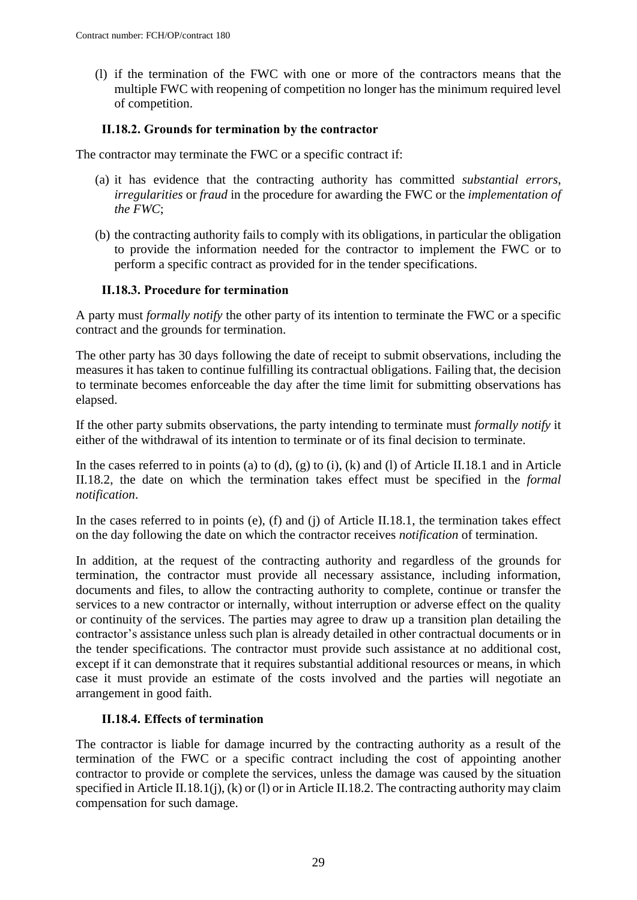(l) if the termination of the FWC with one or more of the contractors means that the multiple FWC with reopening of competition no longer has the minimum required level of competition.

#### **II.18.2. Grounds for termination by the contractor**

The contractor may terminate the FWC or a specific contract if:

- (a) it has evidence that the contracting authority has committed *substantial errors*, *irregularities* or *fraud* in the procedure for awarding the FWC or the *implementation of the FWC*;
- (b) the contracting authority fails to comply with its obligations, in particular the obligation to provide the information needed for the contractor to implement the FWC or to perform a specific contract as provided for in the tender specifications.

#### **II.18.3. Procedure for termination**

A party must *formally notify* the other party of its intention to terminate the FWC or a specific contract and the grounds for termination.

The other party has 30 days following the date of receipt to submit observations, including the measures it has taken to continue fulfilling its contractual obligations. Failing that, the decision to terminate becomes enforceable the day after the time limit for submitting observations has elapsed.

If the other party submits observations, the party intending to terminate must *formally notify* it either of the withdrawal of its intention to terminate or of its final decision to terminate.

In the cases referred to in points (a) to (d), (g) to (i), (k) and (l) of Article II.18.1 and in Article II.18.2, the date on which the termination takes effect must be specified in the *formal notification*.

In the cases referred to in points (e), (f) and (j) of Article II.18.1, the termination takes effect on the day following the date on which the contractor receives *notification* of termination.

In addition, at the request of the contracting authority and regardless of the grounds for termination, the contractor must provide all necessary assistance, including information, documents and files, to allow the contracting authority to complete, continue or transfer the services to a new contractor or internally, without interruption or adverse effect on the quality or continuity of the services. The parties may agree to draw up a transition plan detailing the contractor's assistance unless such plan is already detailed in other contractual documents or in the tender specifications. The contractor must provide such assistance at no additional cost, except if it can demonstrate that it requires substantial additional resources or means, in which case it must provide an estimate of the costs involved and the parties will negotiate an arrangement in good faith.

#### **II.18.4. Effects of termination**

The contractor is liable for damage incurred by the contracting authority as a result of the termination of the FWC or a specific contract including the cost of appointing another contractor to provide or complete the services, unless the damage was caused by the situation specified in Article II.18.1(j), (k) or (l) or in Article II.18.2. The contracting authority may claim compensation for such damage.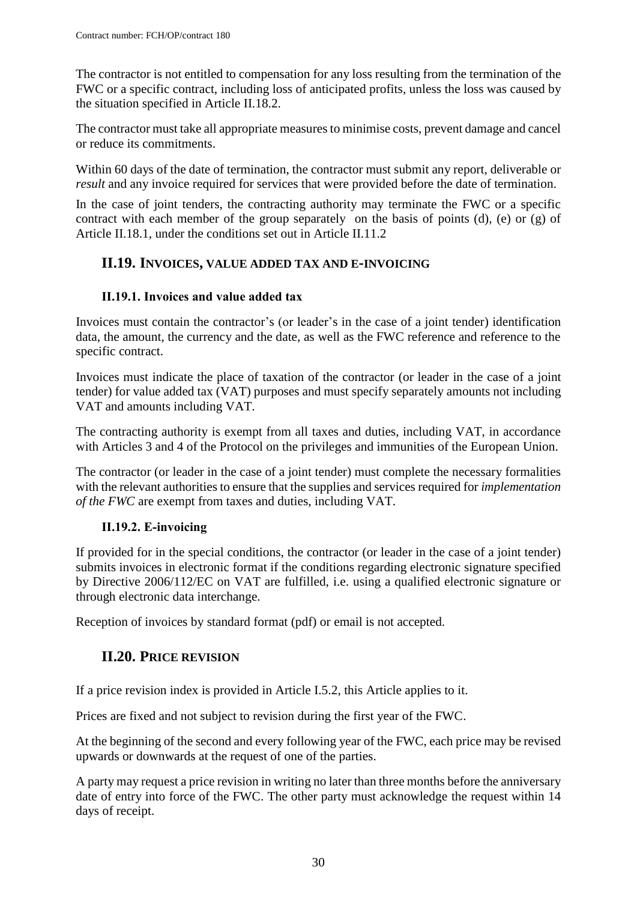The contractor is not entitled to compensation for any loss resulting from the termination of the FWC or a specific contract, including loss of anticipated profits, unless the loss was caused by the situation specified in Article II.18.2.

The contractor must take all appropriate measures to minimise costs, prevent damage and cancel or reduce its commitments.

Within 60 days of the date of termination, the contractor must submit any report, deliverable or *result* and any invoice required for services that were provided before the date of termination.

In the case of joint tenders, the contracting authority may terminate the FWC or a specific contract with each member of the group separately on the basis of points (d), (e) or (g) of Article II.18.1, under the conditions set out in Article II.11.2

## <span id="page-29-0"></span>**II.19. INVOICES, VALUE ADDED TAX AND E-INVOICING**

#### **II.19.1. Invoices and value added tax**

Invoices must contain the contractor's (or leader's in the case of a joint tender) identification data, the amount, the currency and the date, as well as the FWC reference and reference to the specific contract.

Invoices must indicate the place of taxation of the contractor (or leader in the case of a joint tender) for value added tax (VAT) purposes and must specify separately amounts not including VAT and amounts including VAT.

The contracting authority is exempt from all taxes and duties, including VAT, in accordance with Articles 3 and 4 of the Protocol on the privileges and immunities of the European Union.

The contractor (or leader in the case of a joint tender) must complete the necessary formalities with the relevant authorities to ensure that the supplies and services required for *implementation of the FWC* are exempt from taxes and duties, including VAT.

#### **II.19.2. E-invoicing**

If provided for in the special conditions, the contractor (or leader in the case of a joint tender) submits invoices in electronic format if the conditions regarding electronic signature specified by Directive 2006/112/EC on VAT are fulfilled, i.e. using a qualified electronic signature or through electronic data interchange.

<span id="page-29-1"></span>Reception of invoices by standard format (pdf) or email is not accepted.

## **II.20. PRICE REVISION**

If a price revision index is provided in Article I.5.2, this Article applies to it.

Prices are fixed and not subject to revision during the first year of the FWC.

At the beginning of the second and every following year of the FWC, each price may be revised upwards or downwards at the request of one of the parties.

A party may request a price revision in writing no later than three months before the anniversary date of entry into force of the FWC. The other party must acknowledge the request within 14 days of receipt.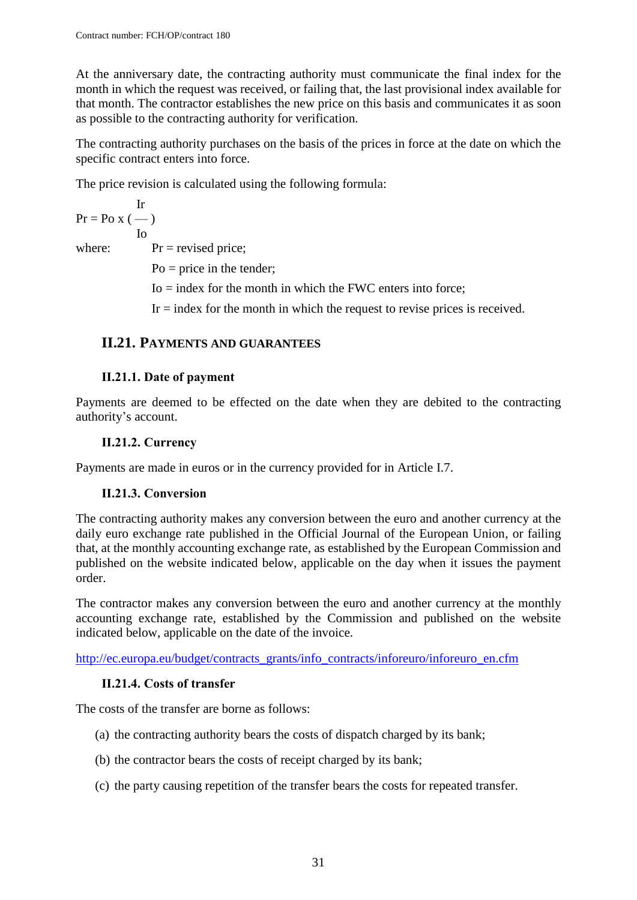At the anniversary date, the contracting authority must communicate the final index for the month in which the request was received, or failing that, the last provisional index available for that month. The contractor establishes the new price on this basis and communicates it as soon as possible to the contracting authority for verification.

The contracting authority purchases on the basis of the prices in force at the date on which the specific contract enters into force.

The price revision is calculated using the following formula:

Ir  $Pr = PoX$  (--) Io

where:  $Pr = \text{revised price};$ 

 $Po = price$  in the tender;

 $I_0$  = index for the month in which the FWC enters into force;

 $Ir = index$  for the month in which the request to revise prices is received.

### <span id="page-30-0"></span>**II.21. PAYMENTS AND GUARANTEES**

#### **II.21.1. Date of payment**

Payments are deemed to be effected on the date when they are debited to the contracting authority's account.

#### **II.21.2. Currency**

Payments are made in euros or in the currency provided for in Article I.7.

#### **II.21.3. Conversion**

The contracting authority makes any conversion between the euro and another currency at the daily euro exchange rate published in the Official Journal of the European Union, or failing that, at the monthly accounting exchange rate, as established by the European Commission and published on the website indicated below, applicable on the day when it issues the payment order.

The contractor makes any conversion between the euro and another currency at the monthly accounting exchange rate, established by the Commission and published on the website indicated below, applicable on the date of the invoice.

[http://ec.europa.eu/budget/contracts\\_grants/info\\_contracts/inforeuro/inforeuro\\_en.cfm](http://ec.europa.eu/budget/contracts_grants/info_contracts/inforeuro/inforeuro_en.cfm)

#### **II.21.4. Costs of transfer**

The costs of the transfer are borne as follows:

- (a) the contracting authority bears the costs of dispatch charged by its bank;
- (b) the contractor bears the costs of receipt charged by its bank;
- (c) the party causing repetition of the transfer bears the costs for repeated transfer.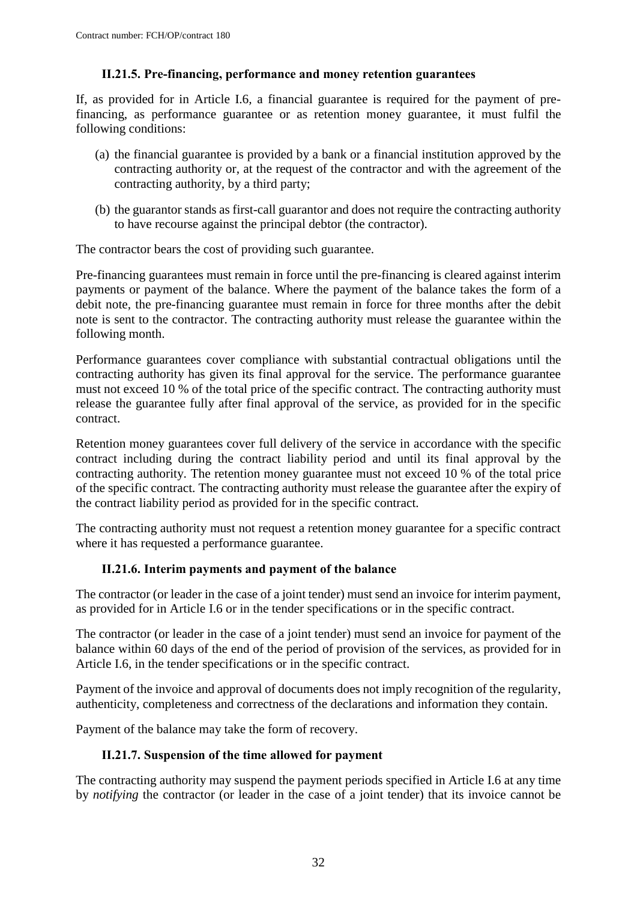#### **II.21.5. Pre-financing, performance and money retention guarantees**

If, as provided for in Article I.6*,* a financial guarantee is required for the payment of prefinancing, as performance guarantee or as retention money guarantee, it must fulfil the following conditions:

- (a) the financial guarantee is provided by a bank or a financial institution approved by the contracting authority or, at the request of the contractor and with the agreement of the contracting authority, by a third party;
- (b) the guarantor stands as first-call guarantor and does not require the contracting authority to have recourse against the principal debtor (the contractor).

The contractor bears the cost of providing such guarantee.

Pre-financing guarantees must remain in force until the pre-financing is cleared against interim payments or payment of the balance. Where the payment of the balance takes the form of a debit note, the pre-financing guarantee must remain in force for three months after the debit note is sent to the contractor. The contracting authority must release the guarantee within the following month.

Performance guarantees cover compliance with substantial contractual obligations until the contracting authority has given its final approval for the service. The performance guarantee must not exceed 10 % of the total price of the specific contract. The contracting authority must release the guarantee fully after final approval of the service, as provided for in the specific contract.

Retention money guarantees cover full delivery of the service in accordance with the specific contract including during the contract liability period and until its final approval by the contracting authority. The retention money guarantee must not exceed 10 % of the total price of the specific contract. The contracting authority must release the guarantee after the expiry of the contract liability period as provided for in the specific contract.

The contracting authority must not request a retention money guarantee for a specific contract where it has requested a performance guarantee.

#### **II.21.6. Interim payments and payment of the balance**

The contractor (or leader in the case of a joint tender) must send an invoice for interim payment, as provided for in Article I.6 or in the tender specifications or in the specific contract.

The contractor (or leader in the case of a joint tender) must send an invoice for payment of the balance within 60 days of the end of the period of provision of the services, as provided for in Article I.6, in the tender specifications or in the specific contract.

Payment of the invoice and approval of documents does not imply recognition of the regularity, authenticity, completeness and correctness of the declarations and information they contain.

Payment of the balance may take the form of recovery.

#### **II.21.7. Suspension of the time allowed for payment**

The contracting authority may suspend the payment periods specified in Article I.6 at any time by *notifying* the contractor (or leader in the case of a joint tender) that its invoice cannot be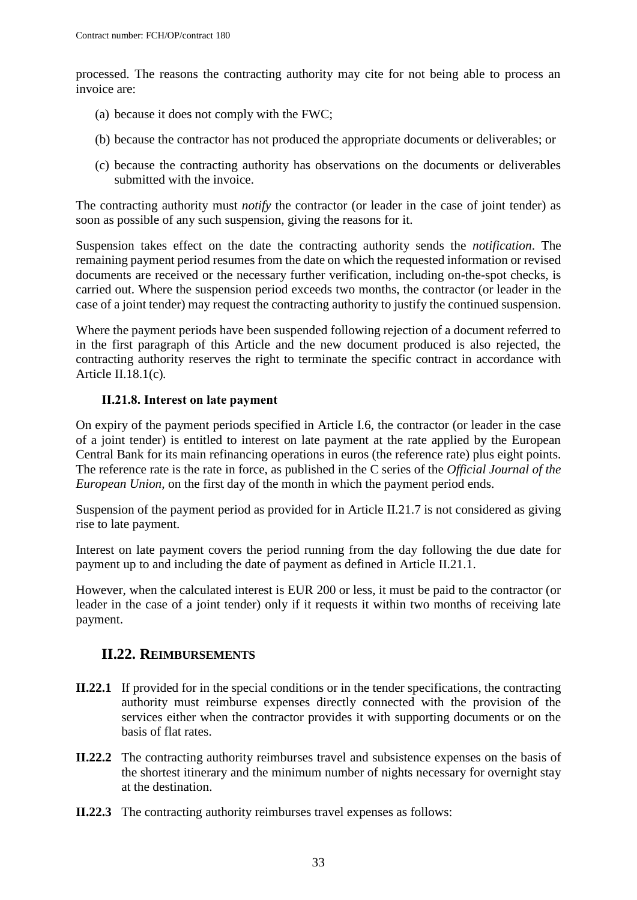processed. The reasons the contracting authority may cite for not being able to process an invoice are:

- (a) because it does not comply with the FWC;
- (b) because the contractor has not produced the appropriate documents or deliverables; or
- (c) because the contracting authority has observations on the documents or deliverables submitted with the invoice.

The contracting authority must *notify* the contractor (or leader in the case of joint tender) as soon as possible of any such suspension, giving the reasons for it.

Suspension takes effect on the date the contracting authority sends the *notification*. The remaining payment period resumes from the date on which the requested information or revised documents are received or the necessary further verification, including on-the-spot checks, is carried out. Where the suspension period exceeds two months, the contractor (or leader in the case of a joint tender) may request the contracting authority to justify the continued suspension.

Where the payment periods have been suspended following rejection of a document referred to in the first paragraph of this Article and the new document produced is also rejected, the contracting authority reserves the right to terminate the specific contract in accordance with Article II.18.1(c)*.*

### **II.21.8. Interest on late payment**

On expiry of the payment periods specified in Article I.6, the contractor (or leader in the case of a joint tender) is entitled to interest on late payment at the rate applied by the European Central Bank for its main refinancing operations in euros (the reference rate) plus eight points. The reference rate is the rate in force, as published in the C series of the *Official Journal of the European Union,* on the first day of the month in which the payment period ends.

Suspension of the payment period as provided for in Article II.21.7 is not considered as giving rise to late payment.

Interest on late payment covers the period running from the day following the due date for payment up to and including the date of payment as defined in Article II.21.1.

However, when the calculated interest is EUR 200 or less, it must be paid to the contractor (or leader in the case of a joint tender) only if it requests it within two months of receiving late payment.

## <span id="page-32-0"></span>**II.22. REIMBURSEMENTS**

- **II.22.1** If provided for in the special conditions or in the tender specifications, the contracting authority must reimburse expenses directly connected with the provision of the services either when the contractor provides it with supporting documents or on the basis of flat rates.
- **II.22.2** The contracting authority reimburses travel and subsistence expenses on the basis of the shortest itinerary and the minimum number of nights necessary for overnight stay at the destination.
- **II.22.3** The contracting authority reimburses travel expenses as follows: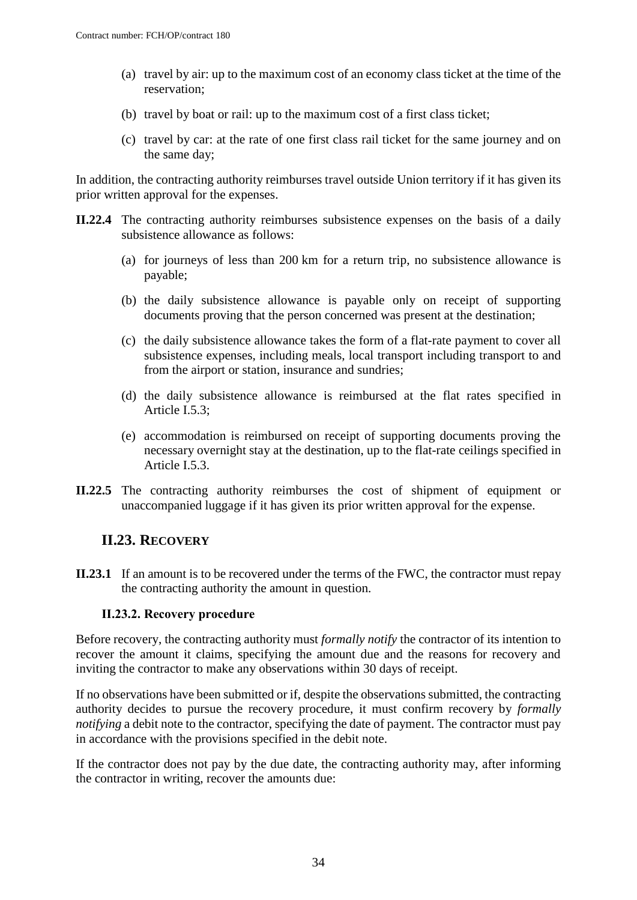- (a) travel by air: up to the maximum cost of an economy class ticket at the time of the reservation;
- (b) travel by boat or rail: up to the maximum cost of a first class ticket;
- (c) travel by car: at the rate of one first class rail ticket for the same journey and on the same day;

In addition, the contracting authority reimburses travel outside Union territory if it has given its prior written approval for the expenses.

- **II.22.4** The contracting authority reimburses subsistence expenses on the basis of a daily subsistence allowance as follows:
	- (a) for journeys of less than 200 km for a return trip, no subsistence allowance is payable;
	- (b) the daily subsistence allowance is payable only on receipt of supporting documents proving that the person concerned was present at the destination;
	- (c) the daily subsistence allowance takes the form of a flat-rate payment to cover all subsistence expenses, including meals, local transport including transport to and from the airport or station, insurance and sundries;
	- (d) the daily subsistence allowance is reimbursed at the flat rates specified in Article I.5.3;
	- (e) accommodation is reimbursed on receipt of supporting documents proving the necessary overnight stay at the destination, up to the flat-rate ceilings specified in Article I.5.3.
- **II.22.5** The contracting authority reimburses the cost of shipment of equipment or unaccompanied luggage if it has given its prior written approval for the expense.

## <span id="page-33-0"></span>**II.23. RECOVERY**

**II.23.1** If an amount is to be recovered under the terms of the FWC, the contractor must repay the contracting authority the amount in question.

#### **II.23.2. Recovery procedure**

Before recovery, the contracting authority must *formally notify* the contractor of its intention to recover the amount it claims, specifying the amount due and the reasons for recovery and inviting the contractor to make any observations within 30 days of receipt.

If no observations have been submitted or if, despite the observations submitted, the contracting authority decides to pursue the recovery procedure, it must confirm recovery by *formally notifying* a debit note to the contractor, specifying the date of payment. The contractor must pay in accordance with the provisions specified in the debit note.

If the contractor does not pay by the due date, the contracting authority may, after informing the contractor in writing, recover the amounts due: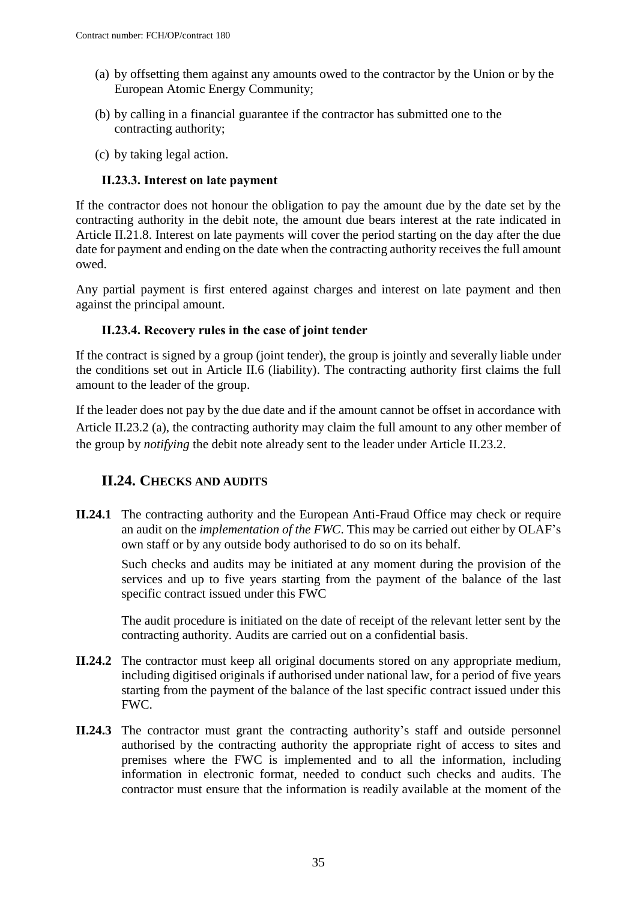- (a) by offsetting them against any amounts owed to the contractor by the Union or by the European Atomic Energy Community;
- (b) by calling in a financial guarantee if the contractor has submitted one to the contracting authority;
- (c) by taking legal action.

#### **II.23.3. Interest on late payment**

If the contractor does not honour the obligation to pay the amount due by the date set by the contracting authority in the debit note, the amount due bears interest at the rate indicated in Article II.21.8. Interest on late payments will cover the period starting on the day after the due date for payment and ending on the date when the contracting authority receives the full amount owed.

Any partial payment is first entered against charges and interest on late payment and then against the principal amount.

#### **II.23.4. Recovery rules in the case of joint tender**

If the contract is signed by a group (joint tender), the group is jointly and severally liable under the conditions set out in Article II.6 (liability). The contracting authority first claims the full amount to the leader of the group.

If the leader does not pay by the due date and if the amount cannot be offset in accordance with Article II.23.2 (a), the contracting authority may claim the full amount to any other member of the group by *notifying* the debit note already sent to the leader under Article II.23.2.

## <span id="page-34-0"></span>**II.24. CHECKS AND AUDITS**

**II.24.1** The contracting authority and the European Anti-Fraud Office may check or require an audit on the *implementation of the FWC*. This may be carried out either by OLAF's own staff or by any outside body authorised to do so on its behalf.

Such checks and audits may be initiated at any moment during the provision of the services and up to five years starting from the payment of the balance of the last specific contract issued under this FWC

The audit procedure is initiated on the date of receipt of the relevant letter sent by the contracting authority. Audits are carried out on a confidential basis.

- **II.24.2** The contractor must keep all original documents stored on any appropriate medium, including digitised originals if authorised under national law, for a period of five years starting from the payment of the balance of the last specific contract issued under this FWC.
- **II.24.3** The contractor must grant the contracting authority's staff and outside personnel authorised by the contracting authority the appropriate right of access to sites and premises where the FWC is implemented and to all the information, including information in electronic format, needed to conduct such checks and audits. The contractor must ensure that the information is readily available at the moment of the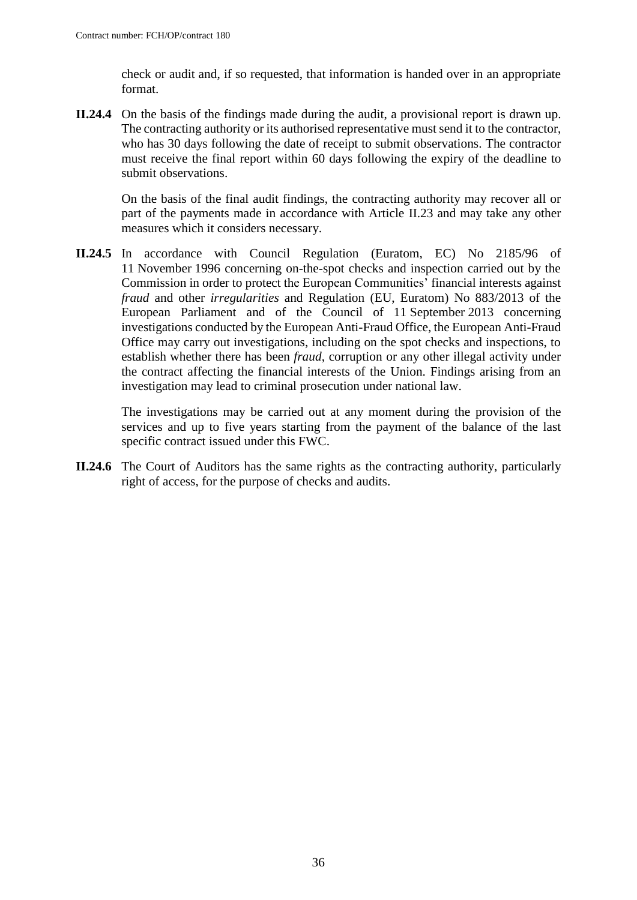check or audit and, if so requested, that information is handed over in an appropriate format.

**II.24.4** On the basis of the findings made during the audit, a provisional report is drawn up. The contracting authority or its authorised representative must send it to the contractor, who has 30 days following the date of receipt to submit observations. The contractor must receive the final report within 60 days following the expiry of the deadline to submit observations.

On the basis of the final audit findings, the contracting authority may recover all or part of the payments made in accordance with Article II.23 and may take any other measures which it considers necessary.

**II.24.5** In accordance with Council Regulation (Euratom, EC) No 2185/96 of 11 November 1996 concerning on-the-spot checks and inspection carried out by the Commission in order to protect the European Communities' financial interests against *fraud* and other *irregularities* and Regulation (EU, Euratom) No 883/2013 of the European Parliament and of the Council of 11 September 2013 concerning investigations conducted by the European Anti-Fraud Office, the European Anti-Fraud Office may carry out investigations, including on the spot checks and inspections, to establish whether there has been *fraud*, corruption or any other illegal activity under the contract affecting the financial interests of the Union. Findings arising from an investigation may lead to criminal prosecution under national law.

The investigations may be carried out at any moment during the provision of the services and up to five years starting from the payment of the balance of the last specific contract issued under this FWC.

**II.24.6** The Court of Auditors has the same rights as the contracting authority, particularly right of access, for the purpose of checks and audits.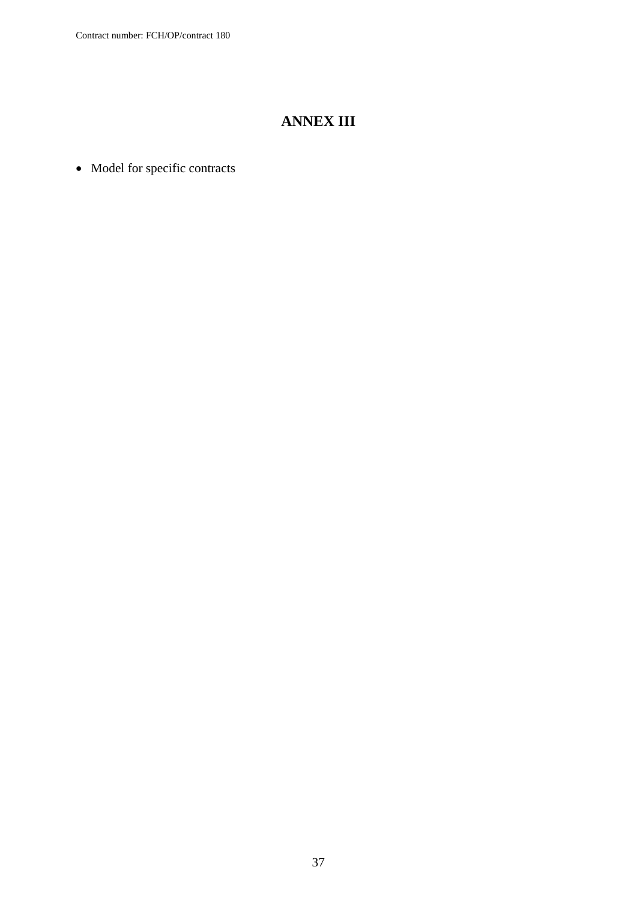# **ANNEX III**

• Model for specific contracts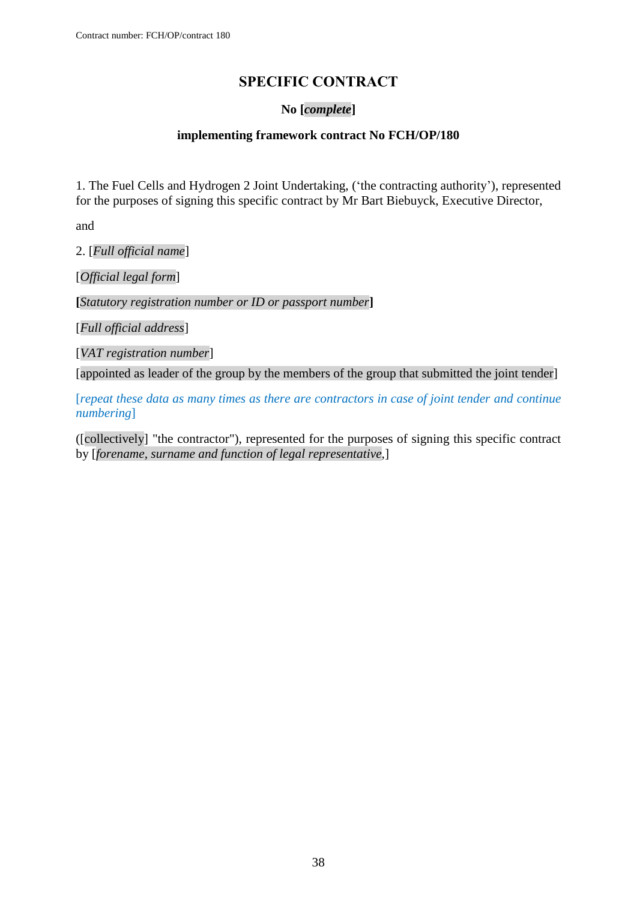## **SPECIFIC CONTRACT**

#### **No [***complete***]**

#### **implementing framework contract No FCH/OP/180**

<span id="page-37-0"></span>1. The Fuel Cells and Hydrogen 2 Joint Undertaking, ('the contracting authority'), represented for the purposes of signing this specific contract by Mr Bart Biebuyck, Executive Director,

and

2. [*Full official name*]

[*Official legal form*]

**[***Statutory registration number or ID or passport number***]**

[*Full official address*]

[*VAT registration number*]

[appointed as leader of the group by the members of the group that submitted the joint tender]

[*repeat these data as many times as there are contractors in case of joint tender and continue numbering*]

([collectively] "the contractor"), represented for the purposes of signing this specific contract by [*forename, surname and function of legal representative*,]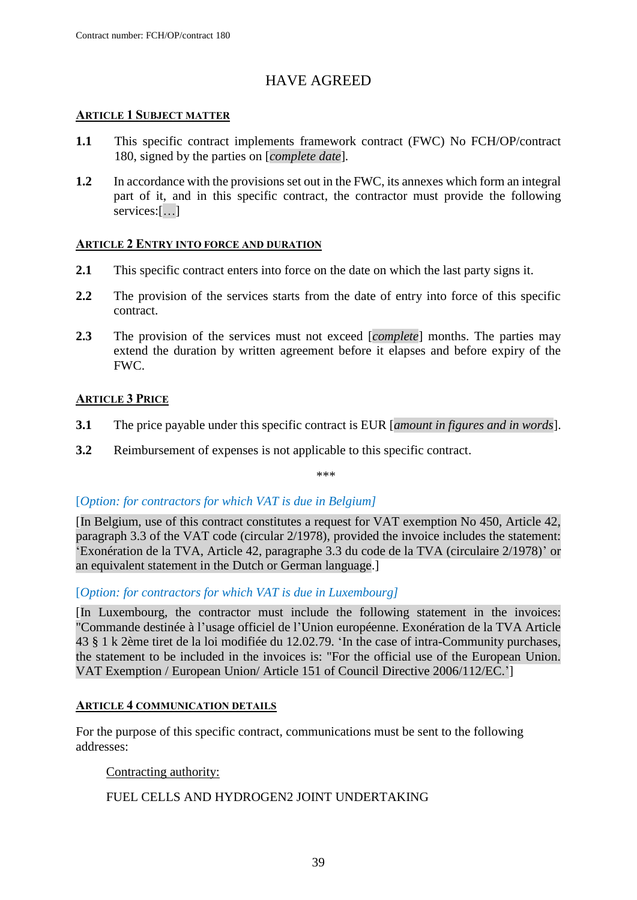## HAVE AGREED

#### **ARTICLE 1 SUBJECT MATTER**

- **1.1** This specific contract implements framework contract (FWC) No FCH/OP/contract 180, signed by the parties on [*complete date*]*.*
- **1.2** In accordance with the provisions set out in the FWC, its annexes which form an integral part of it, and in this specific contract, the contractor must provide the following services:[…]

#### **ARTICLE 2 ENTRY INTO FORCE AND DURATION**

- **2.1** This specific contract enters into force on the date on which the last party signs it.
- **2.2** The provision of the services starts from the date of entry into force of this specific contract.
- **2.3** The provision of the services must not exceed [*complete*] months. The parties may extend the duration by written agreement before it elapses and before expiry of the FWC.

#### **ARTICLE 3 PRICE**

- **3.1** The price payable under this specific contract is EUR [*amount in figures and in words*].
- **3.2** Reimbursement of expenses is not applicable to this specific contract.

\*\*\*

#### [*Option: for contractors for which VAT is due in Belgium]*

[In Belgium, use of this contract constitutes a request for VAT exemption No 450, Article 42, paragraph 3.3 of the VAT code (circular 2/1978), provided the invoice includes the statement: 'Exonération de la TVA, Article 42, paragraphe 3.3 du code de la TVA (circulaire 2/1978)' or an equivalent statement in the Dutch or German language.]

[*Option: for contractors for which VAT is due in Luxembourg]*

[In Luxembourg, the contractor must include the following statement in the invoices: "Commande destinée à l'usage officiel de l'Union européenne. Exonération de la TVA Article 43 § 1 k 2ème tiret de la loi modifiée du 12.02.79. 'In the case of intra-Community purchases, the statement to be included in the invoices is: "For the official use of the European Union. VAT Exemption / European Union/ Article 151 of Council Directive 2006/112/EC.']

#### **ARTICLE 4 COMMUNICATION DETAILS**

For the purpose of this specific contract, communications must be sent to the following addresses:

Contracting authority:

FUEL CELLS AND HYDROGEN2 JOINT UNDERTAKING